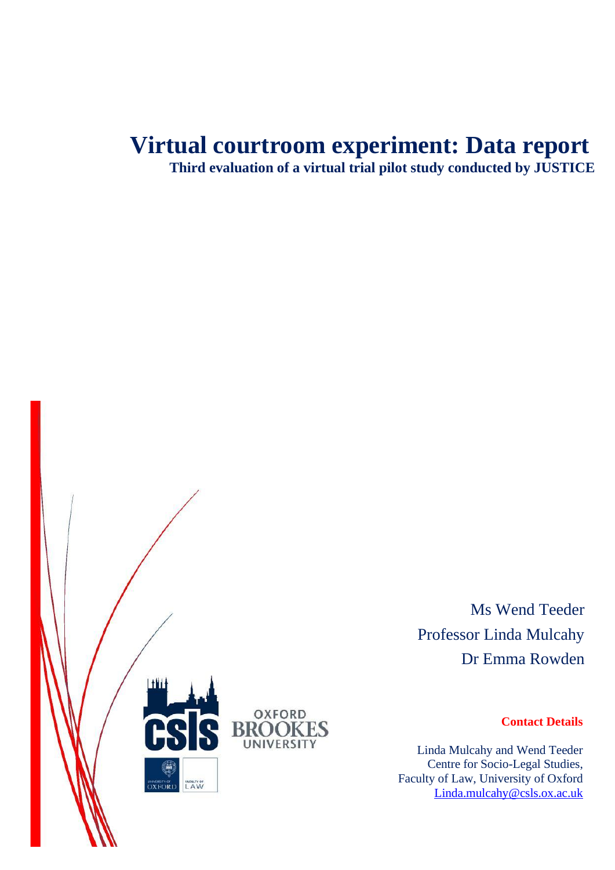# **Virtual courtroom experiment: Data report**

**Third evaluation of a virtual trial pilot study conducted by JUSTICE**



Ms Wend Teeder Professor Linda Mulcahy Dr Emma Rowden

#### **Contact Details**

Linda Mulcahy and Wend Teeder Centre for Socio-Legal Studies, Faculty of Law, University of Oxford [Linda.mulcahy@csls.ox.ac.uk](mailto:Linda.mulcahy@csls.ox.ac.uk)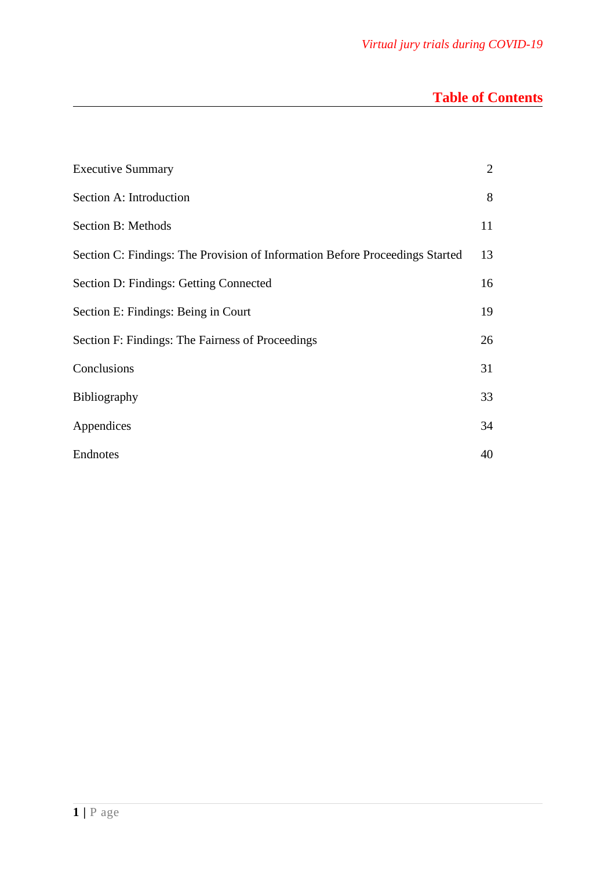# **Table of Contents**

| <b>Executive Summary</b>                                                     | 2  |
|------------------------------------------------------------------------------|----|
| Section A: Introduction                                                      | 8  |
| Section B: Methods                                                           | 11 |
| Section C: Findings: The Provision of Information Before Proceedings Started | 13 |
| Section D: Findings: Getting Connected                                       | 16 |
| Section E: Findings: Being in Court                                          | 19 |
| Section F: Findings: The Fairness of Proceedings                             | 26 |
| Conclusions                                                                  | 31 |
| Bibliography                                                                 | 33 |
| Appendices                                                                   | 34 |
| Endnotes                                                                     | 40 |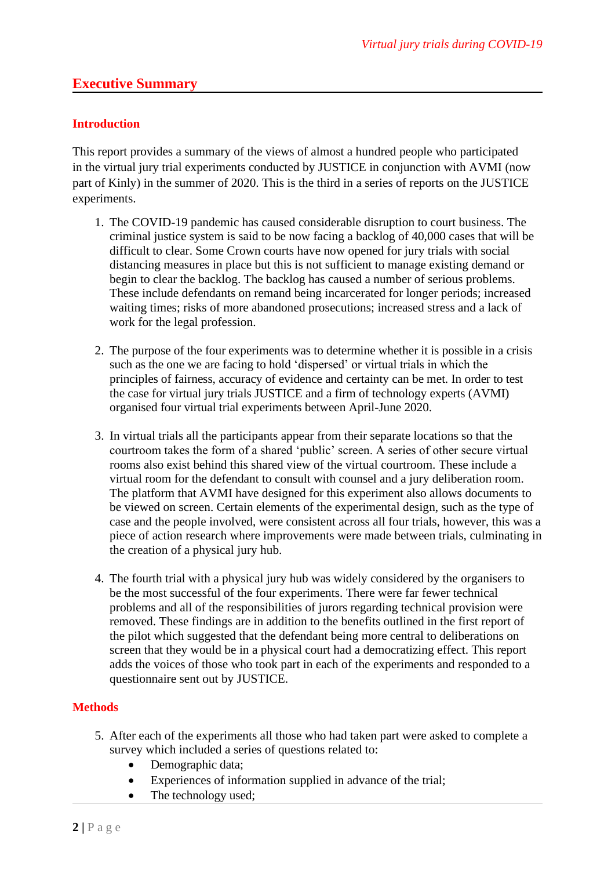#### **Executive Summary**

#### **Introduction**

This report provides a summary of the views of almost a hundred people who participated in the virtual jury trial experiments conducted by JUSTICE in conjunction with AVMI (now part of Kinly) in the summer of 2020. This is the third in a series of reports on the JUSTICE experiments.

- 1. The COVID-19 pandemic has caused considerable disruption to court business. The criminal justice system is said to be now facing a backlog of 40,000 cases that will be difficult to clear. Some Crown courts have now opened for jury trials with social distancing measures in place but this is not sufficient to manage existing demand or begin to clear the backlog. The backlog has caused a number of serious problems. These include defendants on remand being incarcerated for longer periods; increased waiting times; risks of more abandoned prosecutions; increased stress and a lack of work for the legal profession.
- 2. The purpose of the four experiments was to determine whether it is possible in a crisis such as the one we are facing to hold 'dispersed' or virtual trials in which the principles of fairness, accuracy of evidence and certainty can be met. In order to test the case for virtual jury trials JUSTICE and a firm of technology experts (AVMI) organised four virtual trial experiments between April-June 2020.
- 3. In virtual trials all the participants appear from their separate locations so that the courtroom takes the form of a shared 'public' screen. A series of other secure virtual rooms also exist behind this shared view of the virtual courtroom. These include a virtual room for the defendant to consult with counsel and a jury deliberation room. The platform that AVMI have designed for this experiment also allows documents to be viewed on screen. Certain elements of the experimental design, such as the type of case and the people involved, were consistent across all four trials, however, this was a piece of action research where improvements were made between trials, culminating in the creation of a physical jury hub.
- 4. The fourth trial with a physical jury hub was widely considered by the organisers to be the most successful of the four experiments. There were far fewer technical problems and all of the responsibilities of jurors regarding technical provision were removed. These findings are in addition to the benefits outlined in the first report of the pilot which suggested that the defendant being more central to deliberations on screen that they would be in a physical court had a democratizing effect. This report adds the voices of those who took part in each of the experiments and responded to a questionnaire sent out by JUSTICE.

#### **Methods**

- 5. After each of the experiments all those who had taken part were asked to complete a survey which included a series of questions related to:
	- Demographic data;
	- Experiences of information supplied in advance of the trial;
	- The technology used;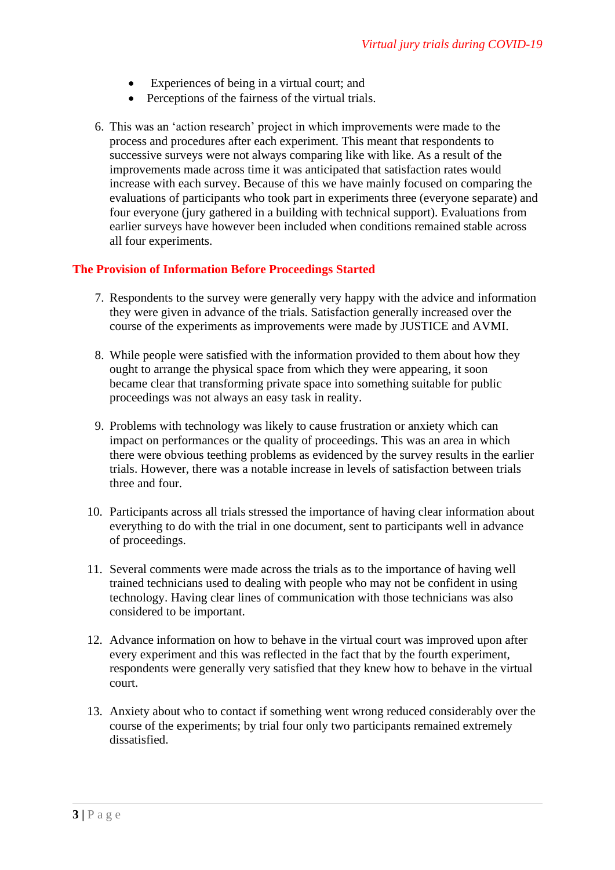- Experiences of being in a virtual court; and
- Perceptions of the fairness of the virtual trials.
- 6. This was an 'action research' project in which improvements were made to the process and procedures after each experiment. This meant that respondents to successive surveys were not always comparing like with like. As a result of the improvements made across time it was anticipated that satisfaction rates would increase with each survey. Because of this we have mainly focused on comparing the evaluations of participants who took part in experiments three (everyone separate) and four everyone (jury gathered in a building with technical support). Evaluations from earlier surveys have however been included when conditions remained stable across all four experiments.

#### **The Provision of Information Before Proceedings Started**

- 7. Respondents to the survey were generally very happy with the advice and information they were given in advance of the trials. Satisfaction generally increased over the course of the experiments as improvements were made by JUSTICE and AVMI.
- 8. While people were satisfied with the information provided to them about how they ought to arrange the physical space from which they were appearing, it soon became clear that transforming private space into something suitable for public proceedings was not always an easy task in reality.
- 9. Problems with technology was likely to cause frustration or anxiety which can impact on performances or the quality of proceedings. This was an area in which there were obvious teething problems as evidenced by the survey results in the earlier trials. However, there was a notable increase in levels of satisfaction between trials three and four.
- 10. Participants across all trials stressed the importance of having clear information about everything to do with the trial in one document, sent to participants well in advance of proceedings.
- 11. Several comments were made across the trials as to the importance of having well trained technicians used to dealing with people who may not be confident in using technology. Having clear lines of communication with those technicians was also considered to be important.
- 12. Advance information on how to behave in the virtual court was improved upon after every experiment and this was reflected in the fact that by the fourth experiment, respondents were generally very satisfied that they knew how to behave in the virtual court.
- 13. Anxiety about who to contact if something went wrong reduced considerably over the course of the experiments; by trial four only two participants remained extremely dissatisfied.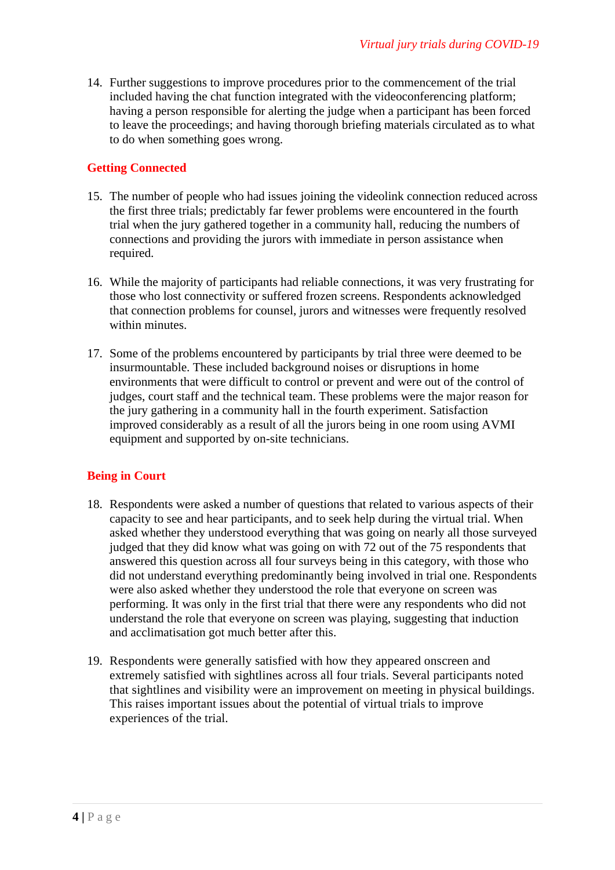14. Further suggestions to improve procedures prior to the commencement of the trial included having the chat function integrated with the videoconferencing platform; having a person responsible for alerting the judge when a participant has been forced to leave the proceedings; and having thorough briefing materials circulated as to what to do when something goes wrong.

#### **Getting Connected**

- 15. The number of people who had issues joining the videolink connection reduced across the first three trials; predictably far fewer problems were encountered in the fourth trial when the jury gathered together in a community hall, reducing the numbers of connections and providing the jurors with immediate in person assistance when required.
- 16. While the majority of participants had reliable connections, it was very frustrating for those who lost connectivity or suffered frozen screens. Respondents acknowledged that connection problems for counsel, jurors and witnesses were frequently resolved within minutes.
- 17. Some of the problems encountered by participants by trial three were deemed to be insurmountable. These included background noises or disruptions in home environments that were difficult to control or prevent and were out of the control of judges, court staff and the technical team. These problems were the major reason for the jury gathering in a community hall in the fourth experiment. Satisfaction improved considerably as a result of all the jurors being in one room using AVMI equipment and supported by on-site technicians.

#### **Being in Court**

- 18. Respondents were asked a number of questions that related to various aspects of their capacity to see and hear participants, and to seek help during the virtual trial. When asked whether they understood everything that was going on nearly all those surveyed judged that they did know what was going on with 72 out of the 75 respondents that answered this question across all four surveys being in this category, with those who did not understand everything predominantly being involved in trial one. Respondents were also asked whether they understood the role that everyone on screen was performing. It was only in the first trial that there were any respondents who did not understand the role that everyone on screen was playing, suggesting that induction and acclimatisation got much better after this.
- 19. Respondents were generally satisfied with how they appeared onscreen and extremely satisfied with sightlines across all four trials. Several participants noted that sightlines and visibility were an improvement on meeting in physical buildings. This raises important issues about the potential of virtual trials to improve experiences of the trial.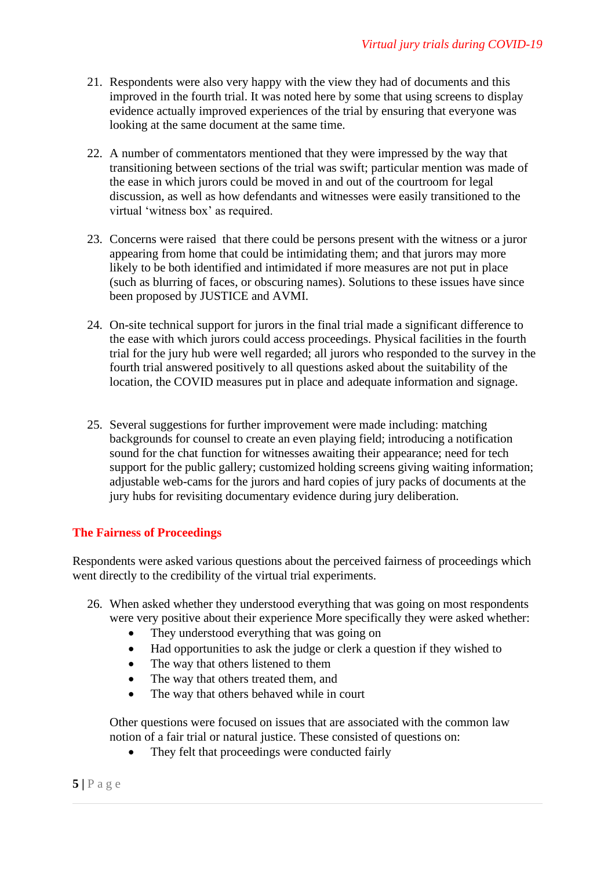- 21. Respondents were also very happy with the view they had of documents and this improved in the fourth trial. It was noted here by some that using screens to display evidence actually improved experiences of the trial by ensuring that everyone was looking at the same document at the same time.
- 22. A number of commentators mentioned that they were impressed by the way that transitioning between sections of the trial was swift; particular mention was made of the ease in which jurors could be moved in and out of the courtroom for legal discussion, as well as how defendants and witnesses were easily transitioned to the virtual 'witness box' as required.
- 23. Concerns were raised that there could be persons present with the witness or a juror appearing from home that could be intimidating them; and that jurors may more likely to be both identified and intimidated if more measures are not put in place (such as blurring of faces, or obscuring names). Solutions to these issues have since been proposed by JUSTICE and AVMI.
- 24. On-site technical support for jurors in the final trial made a significant difference to the ease with which jurors could access proceedings. Physical facilities in the fourth trial for the jury hub were well regarded; all jurors who responded to the survey in the fourth trial answered positively to all questions asked about the suitability of the location, the COVID measures put in place and adequate information and signage.
- 25. Several suggestions for further improvement were made including: matching backgrounds for counsel to create an even playing field; introducing a notification sound for the chat function for witnesses awaiting their appearance; need for tech support for the public gallery; customized holding screens giving waiting information; adjustable web-cams for the jurors and hard copies of jury packs of documents at the jury hubs for revisiting documentary evidence during jury deliberation.

#### **The Fairness of Proceedings**

Respondents were asked various questions about the perceived fairness of proceedings which went directly to the credibility of the virtual trial experiments.

- 26. When asked whether they understood everything that was going on most respondents were very positive about their experience More specifically they were asked whether:
	- They understood everything that was going on
	- Had opportunities to ask the judge or clerk a question if they wished to
	- The way that others listened to them
	- The way that others treated them, and
	- The way that others behaved while in court

Other questions were focused on issues that are associated with the common law notion of a fair trial or natural justice. These consisted of questions on:

They felt that proceedings were conducted fairly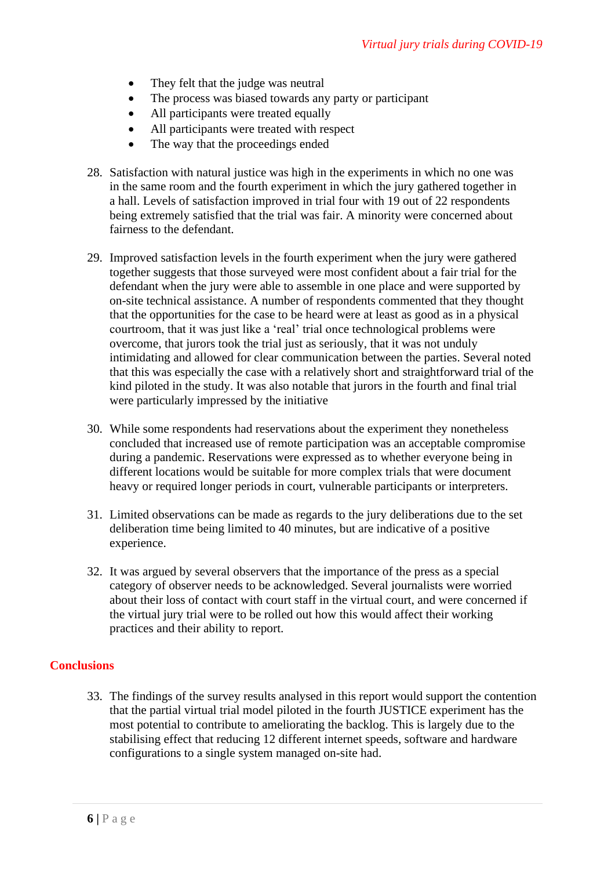- They felt that the judge was neutral
- The process was biased towards any party or participant
- All participants were treated equally
- All participants were treated with respect
- The way that the proceedings ended
- 28. Satisfaction with natural justice was high in the experiments in which no one was in the same room and the fourth experiment in which the jury gathered together in a hall. Levels of satisfaction improved in trial four with 19 out of 22 respondents being extremely satisfied that the trial was fair. A minority were concerned about fairness to the defendant.
- 29. Improved satisfaction levels in the fourth experiment when the jury were gathered together suggests that those surveyed were most confident about a fair trial for the defendant when the jury were able to assemble in one place and were supported by on-site technical assistance. A number of respondents commented that they thought that the opportunities for the case to be heard were at least as good as in a physical courtroom, that it was just like a 'real' trial once technological problems were overcome, that jurors took the trial just as seriously, that it was not unduly intimidating and allowed for clear communication between the parties. Several noted that this was especially the case with a relatively short and straightforward trial of the kind piloted in the study. It was also notable that jurors in the fourth and final trial were particularly impressed by the initiative
- 30. While some respondents had reservations about the experiment they nonetheless concluded that increased use of remote participation was an acceptable compromise during a pandemic. Reservations were expressed as to whether everyone being in different locations would be suitable for more complex trials that were document heavy or required longer periods in court, vulnerable participants or interpreters.
- 31. Limited observations can be made as regards to the jury deliberations due to the set deliberation time being limited to 40 minutes, but are indicative of a positive experience.
- 32. It was argued by several observers that the importance of the press as a special category of observer needs to be acknowledged. Several journalists were worried about their loss of contact with court staff in the virtual court, and were concerned if the virtual jury trial were to be rolled out how this would affect their working practices and their ability to report.

#### **Conclusions**

33. The findings of the survey results analysed in this report would support the contention that the partial virtual trial model piloted in the fourth JUSTICE experiment has the most potential to contribute to ameliorating the backlog. This is largely due to the stabilising effect that reducing 12 different internet speeds, software and hardware configurations to a single system managed on-site had.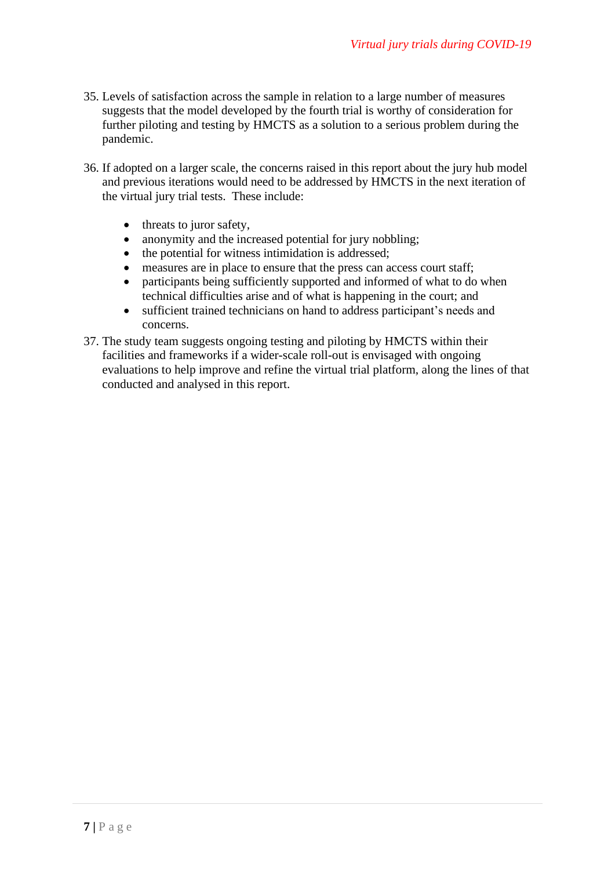- 35. Levels of satisfaction across the sample in relation to a large number of measures suggests that the model developed by the fourth trial is worthy of consideration for further piloting and testing by HMCTS as a solution to a serious problem during the pandemic.
- 36. If adopted on a larger scale, the concerns raised in this report about the jury hub model and previous iterations would need to be addressed by HMCTS in the next iteration of the virtual jury trial tests. These include:
	- threats to juror safety,
	- anonymity and the increased potential for jury nobbling;
	- the potential for witness intimidation is addressed;
	- measures are in place to ensure that the press can access court staff;
	- participants being sufficiently supported and informed of what to do when technical difficulties arise and of what is happening in the court; and
	- sufficient trained technicians on hand to address participant's needs and concerns.
- 37. The study team suggests ongoing testing and piloting by HMCTS within their facilities and frameworks if a wider-scale roll-out is envisaged with ongoing evaluations to help improve and refine the virtual trial platform, along the lines of that conducted and analysed in this report.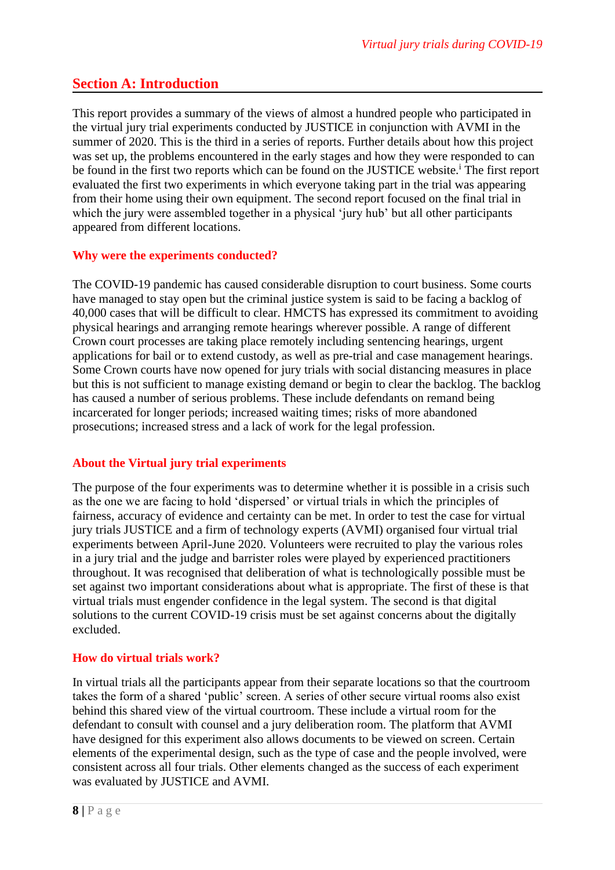### **Section A: Introduction**

This report provides a summary of the views of almost a hundred people who participated in the virtual jury trial experiments conducted by JUSTICE in conjunction with AVMI in the summer of 2020. This is the third in a series of reports. Further details about how this project was set up, the problems encountered in the early stages and how they were responded to can be found in the first two reports which can be found on the JUSTICE website.<sup>i</sup> The first report evaluated the first two experiments in which everyone taking part in the trial was appearing from their home using their own equipment. The second report focused on the final trial in which the jury were assembled together in a physical 'jury hub' but all other participants appeared from different locations.

#### **Why were the experiments conducted?**

The COVID-19 pandemic has caused considerable disruption to court business. Some courts have managed to stay open but the criminal justice system is said to be facing a backlog of 40,000 cases that will be difficult to clear. HMCTS has expressed its commitment to avoiding physical hearings and arranging remote hearings wherever possible. A range of different Crown court processes are taking place remotely including sentencing hearings, urgent applications for bail or to extend custody, as well as pre-trial and case management hearings. Some Crown courts have now opened for jury trials with social distancing measures in place but this is not sufficient to manage existing demand or begin to clear the backlog. The backlog has caused a number of serious problems. These include defendants on remand being incarcerated for longer periods; increased waiting times; risks of more abandoned prosecutions; increased stress and a lack of work for the legal profession.

#### **About the Virtual jury trial experiments**

The purpose of the four experiments was to determine whether it is possible in a crisis such as the one we are facing to hold 'dispersed' or virtual trials in which the principles of fairness, accuracy of evidence and certainty can be met. In order to test the case for virtual jury trials JUSTICE and a firm of technology experts (AVMI) organised four virtual trial experiments between April-June 2020. Volunteers were recruited to play the various roles in a jury trial and the judge and barrister roles were played by experienced practitioners throughout. It was recognised that deliberation of what is technologically possible must be set against two important considerations about what is appropriate. The first of these is that virtual trials must engender confidence in the legal system. The second is that digital solutions to the current COVID-19 crisis must be set against concerns about the digitally excluded.

#### **How do virtual trials work?**

In virtual trials all the participants appear from their separate locations so that the courtroom takes the form of a shared 'public' screen. A series of other secure virtual rooms also exist behind this shared view of the virtual courtroom. These include a virtual room for the defendant to consult with counsel and a jury deliberation room. The platform that AVMI have designed for this experiment also allows documents to be viewed on screen. Certain elements of the experimental design, such as the type of case and the people involved, were consistent across all four trials. Other elements changed as the success of each experiment was evaluated by JUSTICE and AVMI.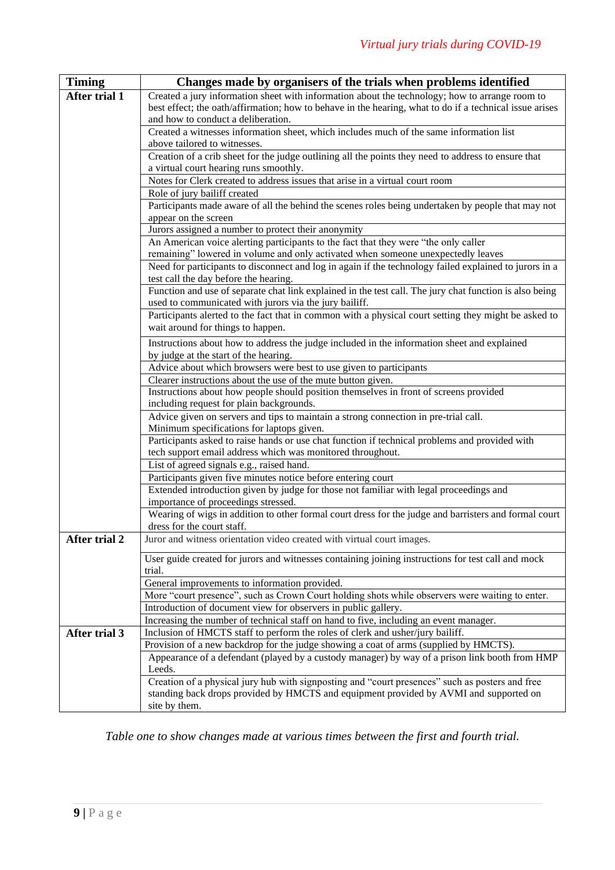| <b>Timing</b>        | Changes made by organisers of the trials when problems identified                                                                                                                                                                               |
|----------------------|-------------------------------------------------------------------------------------------------------------------------------------------------------------------------------------------------------------------------------------------------|
| After trial 1        | Created a jury information sheet with information about the technology; how to arrange room to<br>best effect; the oath/affirmation; how to behave in the hearing, what to do if a technical issue arises<br>and how to conduct a deliberation. |
|                      | Created a witnesses information sheet, which includes much of the same information list<br>above tailored to witnesses.                                                                                                                         |
|                      | Creation of a crib sheet for the judge outlining all the points they need to address to ensure that<br>a virtual court hearing runs smoothly.                                                                                                   |
|                      | Notes for Clerk created to address issues that arise in a virtual court room                                                                                                                                                                    |
|                      | Role of jury bailiff created                                                                                                                                                                                                                    |
|                      | Participants made aware of all the behind the scenes roles being undertaken by people that may not<br>appear on the screen                                                                                                                      |
|                      | Jurors assigned a number to protect their anonymity                                                                                                                                                                                             |
|                      | An American voice alerting participants to the fact that they were "the only caller<br>remaining" lowered in volume and only activated when someone unexpectedly leaves                                                                         |
|                      | Need for participants to disconnect and log in again if the technology failed explained to jurors in a<br>test call the day before the hearing.                                                                                                 |
|                      | Function and use of separate chat link explained in the test call. The jury chat function is also being<br>used to communicated with jurors via the jury bailiff.                                                                               |
|                      | Participants alerted to the fact that in common with a physical court setting they might be asked to<br>wait around for things to happen.                                                                                                       |
|                      | Instructions about how to address the judge included in the information sheet and explained<br>by judge at the start of the hearing.                                                                                                            |
|                      | Advice about which browsers were best to use given to participants                                                                                                                                                                              |
|                      | Clearer instructions about the use of the mute button given.                                                                                                                                                                                    |
|                      | Instructions about how people should position themselves in front of screens provided<br>including request for plain backgrounds.                                                                                                               |
|                      | Advice given on servers and tips to maintain a strong connection in pre-trial call.<br>Minimum specifications for laptops given.                                                                                                                |
|                      | Participants asked to raise hands or use chat function if technical problems and provided with<br>tech support email address which was monitored throughout.                                                                                    |
|                      | List of agreed signals e.g., raised hand.                                                                                                                                                                                                       |
|                      | Participants given five minutes notice before entering court                                                                                                                                                                                    |
|                      | Extended introduction given by judge for those not familiar with legal proceedings and<br>importance of proceedings stressed.                                                                                                                   |
|                      | Wearing of wigs in addition to other formal court dress for the judge and barristers and formal court<br>dress for the court staff.                                                                                                             |
| <b>After trial 2</b> | Juror and witness orientation video created with virtual court images.                                                                                                                                                                          |
|                      | User guide created for jurors and witnesses containing joining instructions for test call and mock<br>trial.                                                                                                                                    |
|                      | General improvements to information provided.                                                                                                                                                                                                   |
|                      | More "court presence", such as Crown Court holding shots while observers were waiting to enter.                                                                                                                                                 |
|                      | Introduction of document view for observers in public gallery.                                                                                                                                                                                  |
|                      | Increasing the number of technical staff on hand to five, including an event manager.                                                                                                                                                           |
| After trial $3$      | Inclusion of HMCTS staff to perform the roles of clerk and usher/jury bailiff.<br>Provision of a new backdrop for the judge showing a coat of arms (supplied by HMCTS).                                                                         |
|                      | Appearance of a defendant (played by a custody manager) by way of a prison link booth from HMP<br>Leeds.                                                                                                                                        |
|                      | Creation of a physical jury hub with signposting and "court presences" such as posters and free<br>standing back drops provided by HMCTS and equipment provided by AVMI and supported on<br>site by them.                                       |

*Table one to show changes made at various times between the first and fourth trial.*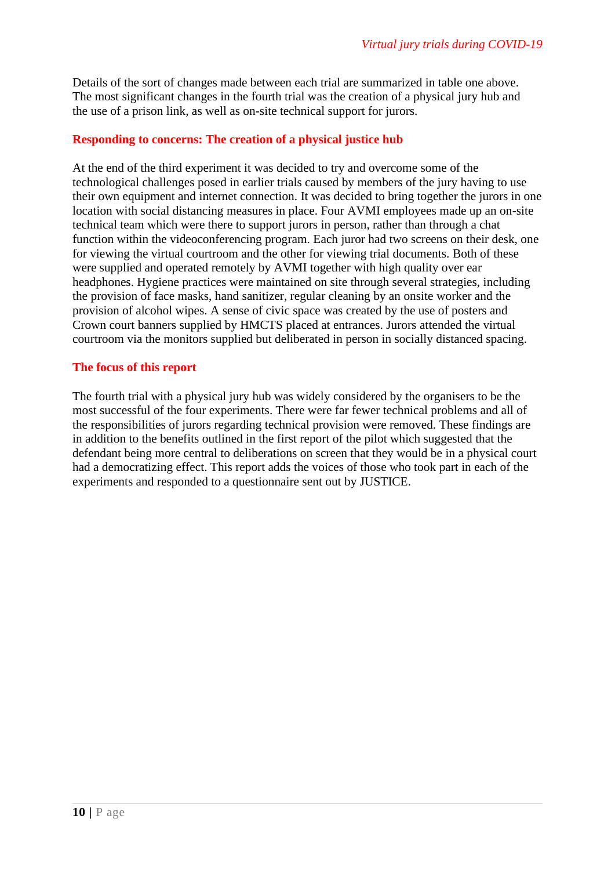Details of the sort of changes made between each trial are summarized in table one above. The most significant changes in the fourth trial was the creation of a physical jury hub and the use of a prison link, as well as on-site technical support for jurors.

#### **Responding to concerns: The creation of a physical justice hub**

At the end of the third experiment it was decided to try and overcome some of the technological challenges posed in earlier trials caused by members of the jury having to use their own equipment and internet connection. It was decided to bring together the jurors in one location with social distancing measures in place. Four AVMI employees made up an on-site technical team which were there to support jurors in person, rather than through a chat function within the videoconferencing program. Each juror had two screens on their desk, one for viewing the virtual courtroom and the other for viewing trial documents. Both of these were supplied and operated remotely by AVMI together with high quality over ear headphones. Hygiene practices were maintained on site through several strategies, including the provision of face masks, hand sanitizer, regular cleaning by an onsite worker and the provision of alcohol wipes. A sense of civic space was created by the use of posters and Crown court banners supplied by HMCTS placed at entrances. Jurors attended the virtual courtroom via the monitors supplied but deliberated in person in socially distanced spacing.

#### **The focus of this report**

The fourth trial with a physical jury hub was widely considered by the organisers to be the most successful of the four experiments. There were far fewer technical problems and all of the responsibilities of jurors regarding technical provision were removed. These findings are in addition to the benefits outlined in the first report of the pilot which suggested that the defendant being more central to deliberations on screen that they would be in a physical court had a democratizing effect. This report adds the voices of those who took part in each of the experiments and responded to a questionnaire sent out by JUSTICE.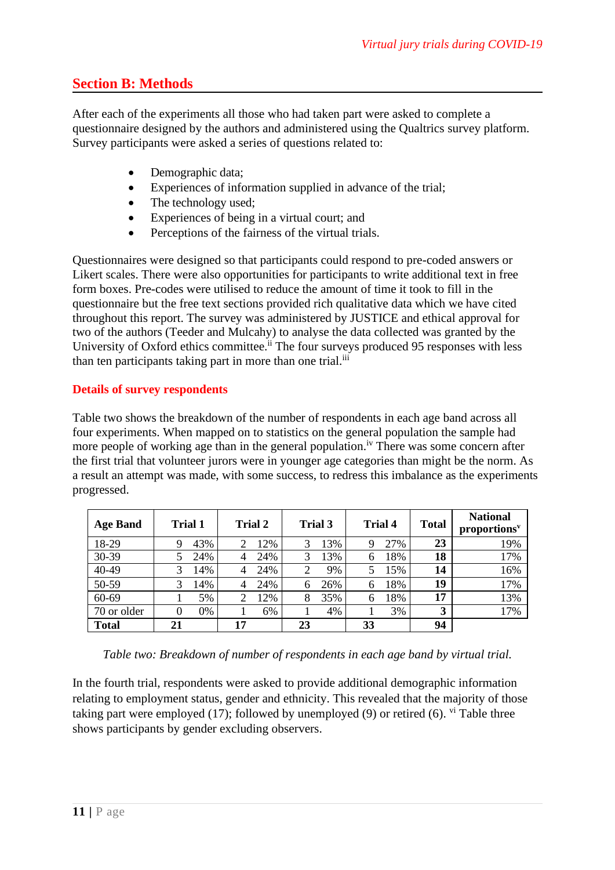### **Section B: Methods**

After each of the experiments all those who had taken part were asked to complete a questionnaire designed by the authors and administered using the Qualtrics survey platform. Survey participants were asked a series of questions related to:

- Demographic data;
- Experiences of information supplied in advance of the trial;
- The technology used;
- Experiences of being in a virtual court; and
- Perceptions of the fairness of the virtual trials.

Questionnaires were designed so that participants could respond to pre-coded answers or Likert scales. There were also opportunities for participants to write additional text in free form boxes. Pre-codes were utilised to reduce the amount of time it took to fill in the questionnaire but the free text sections provided rich qualitative data which we have cited throughout this report. The survey was administered by JUSTICE and ethical approval for two of the authors (Teeder and Mulcahy) to analyse the data collected was granted by the University of Oxford ethics committee.<sup>ii</sup> The four surveys produced 95 responses with less than ten participants taking part in more than one trial.<sup>iii</sup>

#### **Details of survey respondents**

Table two shows the breakdown of the number of respondents in each age band across all four experiments. When mapped on to statistics on the general population the sample had more people of working age than in the general population.<sup>iv</sup> There was some concern after the first trial that volunteer jurors were in younger age categories than might be the norm. As a result an attempt was made, with some success, to redress this imbalance as the experiments progressed.

| <b>Age Band</b> | <b>Trial 1</b> | Trial 2  | Trial 3  | <b>Trial 4</b> | <b>Total</b> | <b>National</b><br>proportions <sup>v</sup> |
|-----------------|----------------|----------|----------|----------------|--------------|---------------------------------------------|
| 18-29           | 43%            | 12%      | 13%      | 27%<br>9       | 23           | 19%                                         |
| 30-39           | 24%            | 24%<br>4 | 13%      | 18%<br>6       | 18           | 17%                                         |
| 40-49           | 14%            | 24%      | 9%       | 15%            | 14           | 16%                                         |
| 50-59           | 14%<br>3       | 24%      | 26%<br>6 | 18%<br>6       | 19           | 17%                                         |
| 60-69           | 5%             | 12%      | 35%<br>8 | 18%<br>6       | 17           | 13%                                         |
| 70 or older     | 0%             | 6%       | 4%       | 3%             | 3            | 17%                                         |
| <b>Total</b>    | 21             | 17       | 23       | 33             | 94           |                                             |

*Table two: Breakdown of number of respondents in each age band by virtual trial.*

In the fourth trial, respondents were asked to provide additional demographic information relating to employment status, gender and ethnicity. This revealed that the majority of those taking part were employed (17); followed by unemployed (9) or retired (6).  $\frac{vi}{i}$  Table three shows participants by gender excluding observers.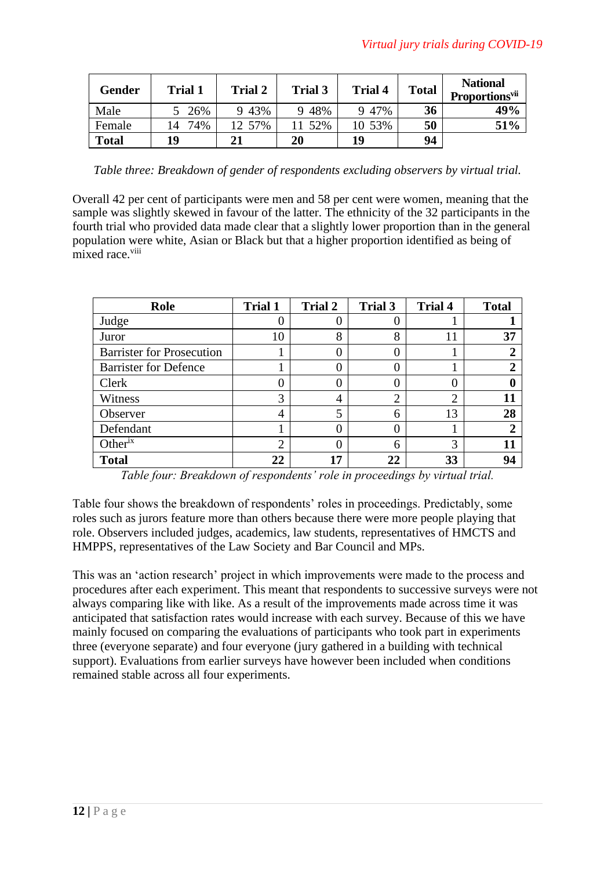| <b>Gender</b> | <b>Trial 1</b> | <b>Trial 2</b> | Trial 3 | <b>Trial 4</b> | <b>Total</b> | <b>National</b><br><b>Proportions</b> <sup>vii</sup> |
|---------------|----------------|----------------|---------|----------------|--------------|------------------------------------------------------|
| Male          | 26%            | 9 43%          | 9 4 8 % | 9 47%          | 36           | 49%                                                  |
| Female        | 74%<br>14      | 12 57%         | 52%     | 10 53%         | 50           | 51%                                                  |
| <b>Total</b>  | 19             | 21             | 20      | 19             | 94           |                                                      |

*Table three: Breakdown of gender of respondents excluding observers by virtual trial.*

Overall 42 per cent of participants were men and 58 per cent were women, meaning that the sample was slightly skewed in favour of the latter. The ethnicity of the 32 participants in the fourth trial who provided data made clear that a slightly lower proportion than in the general population were white, Asian or Black but that a higher proportion identified as being of mixed race.<sup>viii</sup>

| Role                             | <b>Trial 1</b> | <b>Trial 2</b> | <b>Trial 3</b> | <b>Trial 4</b> | <b>Total</b> |
|----------------------------------|----------------|----------------|----------------|----------------|--------------|
| Judge                            |                |                |                |                |              |
| Juror                            | 10             | 8              | 8              | 11             | 37           |
| <b>Barrister for Prosecution</b> |                |                |                |                |              |
| <b>Barrister for Defence</b>     |                |                |                |                |              |
| Clerk                            | 0              |                |                |                |              |
| Witness                          | 3              |                | ⌒              | ↑              | 11           |
| Observer                         | 4              | 5              | 6              | 13             | 28           |
| Defendant                        |                |                |                |                |              |
| Other $i^x$                      | $\overline{2}$ |                | 6              | 3              |              |
| <b>Total</b>                     | 22             | 17             | 22             | 33             | 94           |

*Table four: Breakdown of respondents' role in proceedings by virtual trial.*

Table four shows the breakdown of respondents' roles in proceedings. Predictably, some roles such as jurors feature more than others because there were more people playing that role. Observers included judges, academics, law students, representatives of HMCTS and HMPPS, representatives of the Law Society and Bar Council and MPs.

This was an 'action research' project in which improvements were made to the process and procedures after each experiment. This meant that respondents to successive surveys were not always comparing like with like. As a result of the improvements made across time it was anticipated that satisfaction rates would increase with each survey. Because of this we have mainly focused on comparing the evaluations of participants who took part in experiments three (everyone separate) and four everyone (jury gathered in a building with technical support). Evaluations from earlier surveys have however been included when conditions remained stable across all four experiments.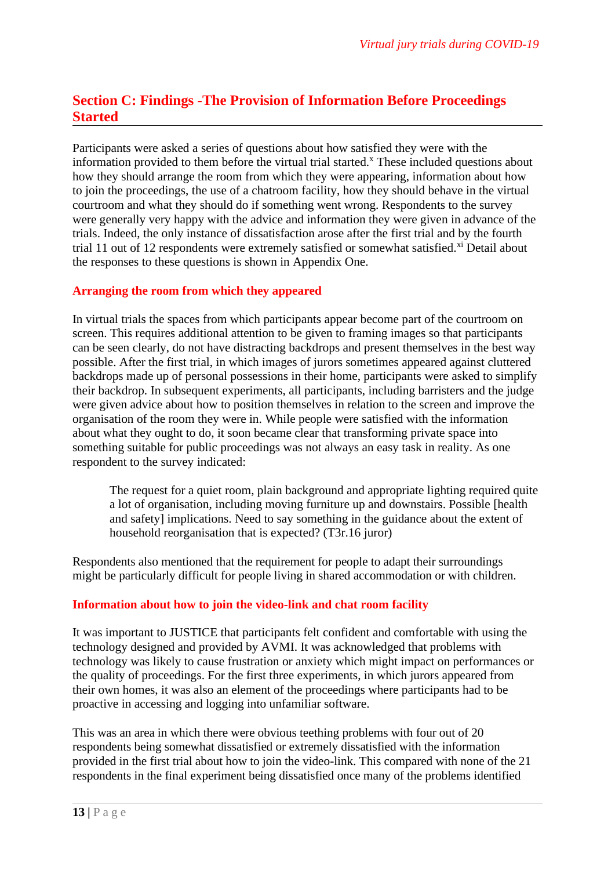### **Section C: Findings -The Provision of Information Before Proceedings Started**

Participants were asked a series of questions about how satisfied they were with the information provided to them before the virtual trial started.<sup>x</sup> These included questions about how they should arrange the room from which they were appearing, information about how to join the proceedings, the use of a chatroom facility, how they should behave in the virtual courtroom and what they should do if something went wrong. Respondents to the survey were generally very happy with the advice and information they were given in advance of the trials. Indeed, the only instance of dissatisfaction arose after the first trial and by the fourth trial 11 out of 12 respondents were extremely satisfied or somewhat satisfied.<sup>xi</sup> Detail about the responses to these questions is shown in Appendix One.

#### **Arranging the room from which they appeared**

In virtual trials the spaces from which participants appear become part of the courtroom on screen. This requires additional attention to be given to framing images so that participants can be seen clearly, do not have distracting backdrops and present themselves in the best way possible. After the first trial, in which images of jurors sometimes appeared against cluttered backdrops made up of personal possessions in their home, participants were asked to simplify their backdrop. In subsequent experiments, all participants, including barristers and the judge were given advice about how to position themselves in relation to the screen and improve the organisation of the room they were in. While people were satisfied with the information about what they ought to do, it soon became clear that transforming private space into something suitable for public proceedings was not always an easy task in reality. As one respondent to the survey indicated:

The request for a quiet room, plain background and appropriate lighting required quite a lot of organisation, including moving furniture up and downstairs. Possible [health and safety] implications. Need to say something in the guidance about the extent of household reorganisation that is expected? (T3r.16 juror)

Respondents also mentioned that the requirement for people to adapt their surroundings might be particularly difficult for people living in shared accommodation or with children.

#### **Information about how to join the video-link and chat room facility**

It was important to JUSTICE that participants felt confident and comfortable with using the technology designed and provided by AVMI. It was acknowledged that problems with technology was likely to cause frustration or anxiety which might impact on performances or the quality of proceedings. For the first three experiments, in which jurors appeared from their own homes, it was also an element of the proceedings where participants had to be proactive in accessing and logging into unfamiliar software.

This was an area in which there were obvious teething problems with four out of 20 respondents being somewhat dissatisfied or extremely dissatisfied with the information provided in the first trial about how to join the video-link. This compared with none of the 21 respondents in the final experiment being dissatisfied once many of the problems identified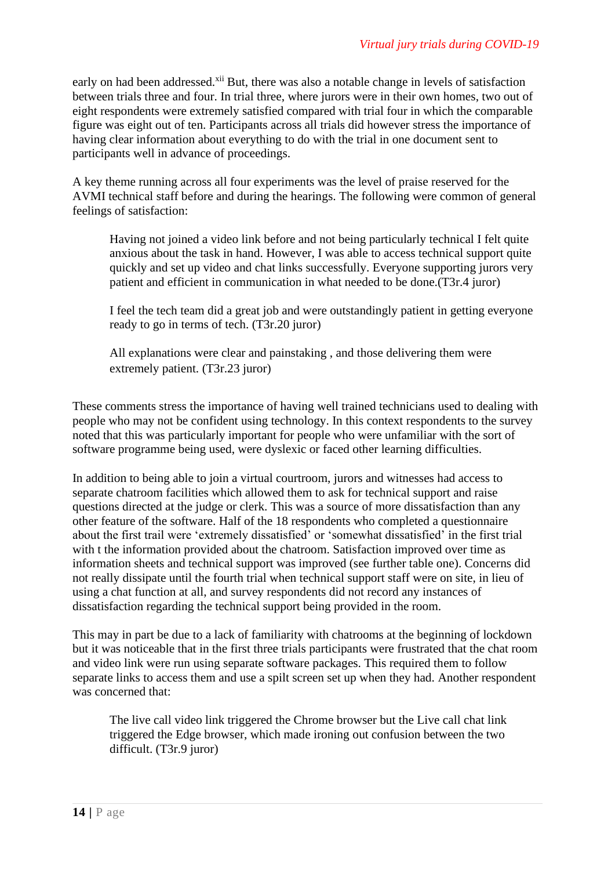early on had been addressed.<sup>xii</sup> But, there was also a notable change in levels of satisfaction between trials three and four. In trial three, where jurors were in their own homes, two out of eight respondents were extremely satisfied compared with trial four in which the comparable figure was eight out of ten. Participants across all trials did however stress the importance of having clear information about everything to do with the trial in one document sent to participants well in advance of proceedings.

A key theme running across all four experiments was the level of praise reserved for the AVMI technical staff before and during the hearings. The following were common of general feelings of satisfaction:

Having not joined a video link before and not being particularly technical I felt quite anxious about the task in hand. However, I was able to access technical support quite quickly and set up video and chat links successfully. Everyone supporting jurors very patient and efficient in communication in what needed to be done.(T3r.4 juror)

I feel the tech team did a great job and were outstandingly patient in getting everyone ready to go in terms of tech. (T3r.20 juror)

All explanations were clear and painstaking , and those delivering them were extremely patient. (T3r.23 juror)

These comments stress the importance of having well trained technicians used to dealing with people who may not be confident using technology. In this context respondents to the survey noted that this was particularly important for people who were unfamiliar with the sort of software programme being used, were dyslexic or faced other learning difficulties.

In addition to being able to join a virtual courtroom, jurors and witnesses had access to separate chatroom facilities which allowed them to ask for technical support and raise questions directed at the judge or clerk. This was a source of more dissatisfaction than any other feature of the software. Half of the 18 respondents who completed a questionnaire about the first trail were 'extremely dissatisfied' or 'somewhat dissatisfied' in the first trial with t the information provided about the chatroom. Satisfaction improved over time as information sheets and technical support was improved (see further table one). Concerns did not really dissipate until the fourth trial when technical support staff were on site, in lieu of using a chat function at all, and survey respondents did not record any instances of dissatisfaction regarding the technical support being provided in the room.

This may in part be due to a lack of familiarity with chatrooms at the beginning of lockdown but it was noticeable that in the first three trials participants were frustrated that the chat room and video link were run using separate software packages. This required them to follow separate links to access them and use a spilt screen set up when they had. Another respondent was concerned that:

The live call video link triggered the Chrome browser but the Live call chat link triggered the Edge browser, which made ironing out confusion between the two difficult. (T3r.9 juror)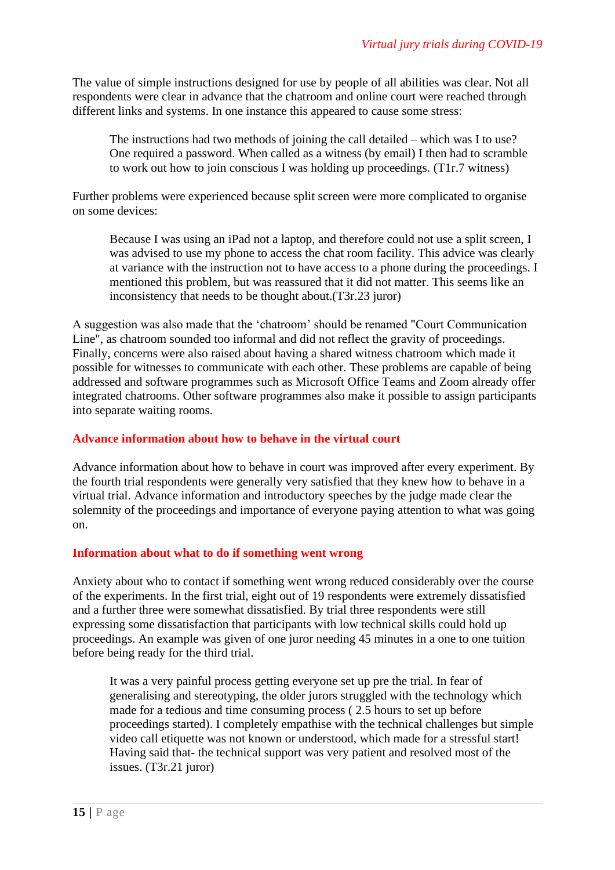The value of simple instructions designed for use by people of all abilities was clear. Not all respondents were clear in advance that the chatroom and online court were reached through different links and systems. In one instance this appeared to cause some stress:

The instructions had two methods of joining the call detailed – which was I to use? One required a password. When called as a witness (by email) I then had to scramble to work out how to join conscious I was holding up proceedings. (T1r.7 witness)

Further problems were experienced because split screen were more complicated to organise on some devices:

Because I was using an iPad not a laptop, and therefore could not use a split screen, I was advised to use my phone to access the chat room facility. This advice was clearly at variance with the instruction not to have access to a phone during the proceedings. I mentioned this problem, but was reassured that it did not matter. This seems like an inconsistency that needs to be thought about.(T3r.23 juror)

A suggestion was also made that the 'chatroom' should be renamed "Court Communication Line", as chatroom sounded too informal and did not reflect the gravity of proceedings. Finally, concerns were also raised about having a shared witness chatroom which made it possible for witnesses to communicate with each other. These problems are capable of being addressed and software programmes such as Microsoft Office Teams and Zoom already offer integrated chatrooms. Other software programmes also make it possible to assign participants into separate waiting rooms.

#### **Advance information about how to behave in the virtual court**

Advance information about how to behave in court was improved after every experiment. By the fourth trial respondents were generally very satisfied that they knew how to behave in a virtual trial. Advance information and introductory speeches by the judge made clear the solemnity of the proceedings and importance of everyone paying attention to what was going on.

#### **Information about what to do if something went wrong**

Anxiety about who to contact if something went wrong reduced considerably over the course of the experiments. In the first trial, eight out of 19 respondents were extremely dissatisfied and a further three were somewhat dissatisfied. By trial three respondents were still expressing some dissatisfaction that participants with low technical skills could hold up proceedings. An example was given of one juror needing 45 minutes in a one to one tuition before being ready for the third trial.

It was a very painful process getting everyone set up pre the trial. In fear of generalising and stereotyping, the older jurors struggled with the technology which made for a tedious and time consuming process ( 2.5 hours to set up before proceedings started). I completely empathise with the technical challenges but simple video call etiquette was not known or understood, which made for a stressful start! Having said that- the technical support was very patient and resolved most of the issues. (T3r.21 juror)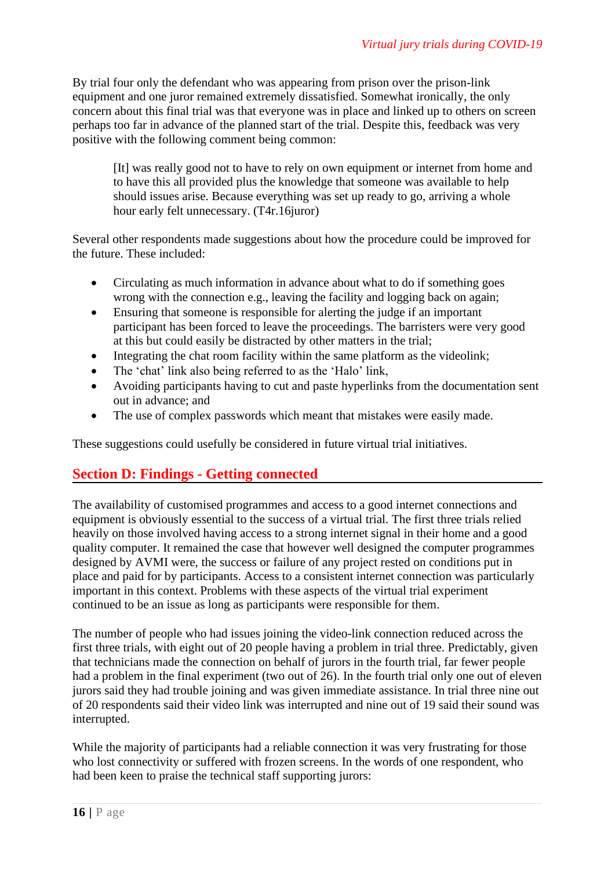By trial four only the defendant who was appearing from prison over the prison-link equipment and one juror remained extremely dissatisfied. Somewhat ironically, the only concern about this final trial was that everyone was in place and linked up to others on screen perhaps too far in advance of the planned start of the trial. Despite this, feedback was very positive with the following comment being common:

[It] was really good not to have to rely on own equipment or internet from home and to have this all provided plus the knowledge that someone was available to help should issues arise. Because everything was set up ready to go, arriving a whole hour early felt unnecessary. (T4r.16juror)

Several other respondents made suggestions about how the procedure could be improved for the future. These included:

- Circulating as much information in advance about what to do if something goes wrong with the connection e.g., leaving the facility and logging back on again;
- Ensuring that someone is responsible for alerting the judge if an important participant has been forced to leave the proceedings. The barristers were very good at this but could easily be distracted by other matters in the trial;
- Integrating the chat room facility within the same platform as the videolink;
- The 'chat' link also being referred to as the 'Halo' link,
- Avoiding participants having to cut and paste hyperlinks from the documentation sent out in advance; and
- The use of complex passwords which meant that mistakes were easily made.

These suggestions could usefully be considered in future virtual trial initiatives.

### **Section D: Findings - Getting connected**

The availability of customised programmes and access to a good internet connections and equipment is obviously essential to the success of a virtual trial. The first three trials relied heavily on those involved having access to a strong internet signal in their home and a good quality computer. It remained the case that however well designed the computer programmes designed by AVMI were, the success or failure of any project rested on conditions put in place and paid for by participants. Access to a consistent internet connection was particularly important in this context. Problems with these aspects of the virtual trial experiment continued to be an issue as long as participants were responsible for them.

The number of people who had issues joining the video-link connection reduced across the first three trials, with eight out of 20 people having a problem in trial three. Predictably, given that technicians made the connection on behalf of jurors in the fourth trial, far fewer people had a problem in the final experiment (two out of 26). In the fourth trial only one out of eleven jurors said they had trouble joining and was given immediate assistance. In trial three nine out of 20 respondents said their video link was interrupted and nine out of 19 said their sound was interrupted.

While the majority of participants had a reliable connection it was very frustrating for those who lost connectivity or suffered with frozen screens. In the words of one respondent, who had been keen to praise the technical staff supporting jurors: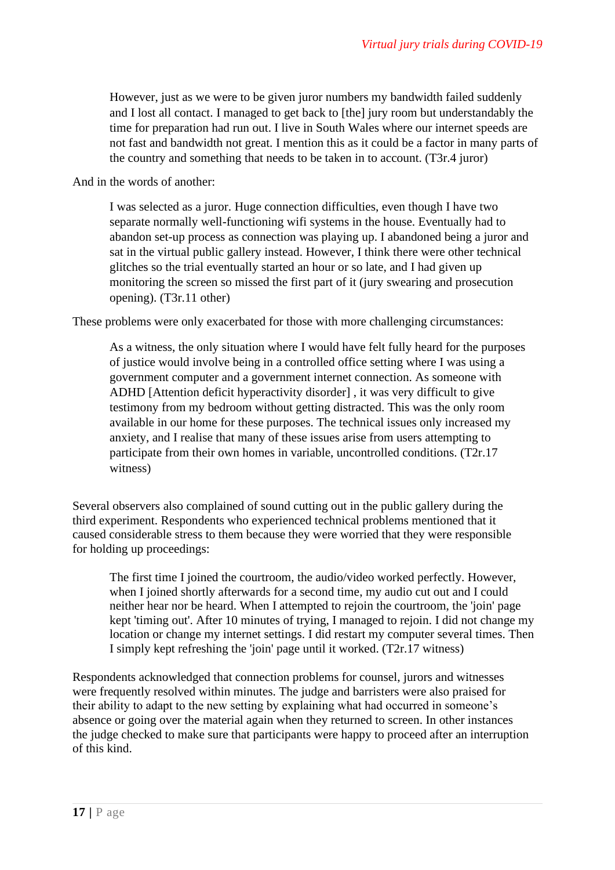However, just as we were to be given juror numbers my bandwidth failed suddenly and I lost all contact. I managed to get back to [the] jury room but understandably the time for preparation had run out. I live in South Wales where our internet speeds are not fast and bandwidth not great. I mention this as it could be a factor in many parts of the country and something that needs to be taken in to account. (T3r.4 juror)

And in the words of another:

I was selected as a juror. Huge connection difficulties, even though I have two separate normally well-functioning wifi systems in the house. Eventually had to abandon set-up process as connection was playing up. I abandoned being a juror and sat in the virtual public gallery instead. However, I think there were other technical glitches so the trial eventually started an hour or so late, and I had given up monitoring the screen so missed the first part of it (jury swearing and prosecution opening). (T3r.11 other)

These problems were only exacerbated for those with more challenging circumstances:

As a witness, the only situation where I would have felt fully heard for the purposes of justice would involve being in a controlled office setting where I was using a government computer and a government internet connection. As someone with ADHD [Attention deficit hyperactivity disorder] , it was very difficult to give testimony from my bedroom without getting distracted. This was the only room available in our home for these purposes. The technical issues only increased my anxiety, and I realise that many of these issues arise from users attempting to participate from their own homes in variable, uncontrolled conditions. (T2r.17 witness)

Several observers also complained of sound cutting out in the public gallery during the third experiment. Respondents who experienced technical problems mentioned that it caused considerable stress to them because they were worried that they were responsible for holding up proceedings:

The first time I joined the courtroom, the audio/video worked perfectly. However, when I joined shortly afterwards for a second time, my audio cut out and I could neither hear nor be heard. When I attempted to rejoin the courtroom, the 'join' page kept 'timing out'. After 10 minutes of trying, I managed to rejoin. I did not change my location or change my internet settings. I did restart my computer several times. Then I simply kept refreshing the 'join' page until it worked. (T2r.17 witness)

Respondents acknowledged that connection problems for counsel, jurors and witnesses were frequently resolved within minutes. The judge and barristers were also praised for their ability to adapt to the new setting by explaining what had occurred in someone's absence or going over the material again when they returned to screen. In other instances the judge checked to make sure that participants were happy to proceed after an interruption of this kind.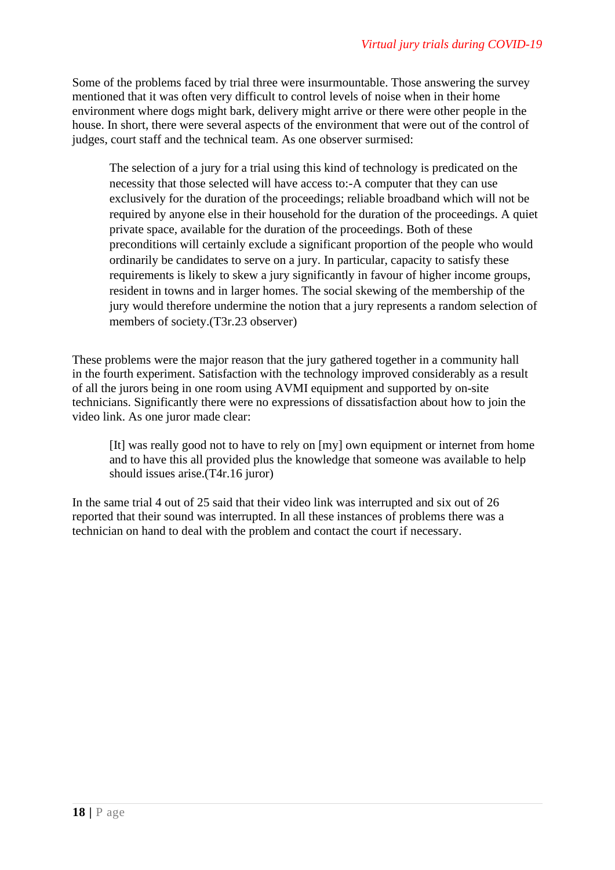Some of the problems faced by trial three were insurmountable. Those answering the survey mentioned that it was often very difficult to control levels of noise when in their home environment where dogs might bark, delivery might arrive or there were other people in the house. In short, there were several aspects of the environment that were out of the control of judges, court staff and the technical team. As one observer surmised:

The selection of a jury for a trial using this kind of technology is predicated on the necessity that those selected will have access to:-A computer that they can use exclusively for the duration of the proceedings; reliable broadband which will not be required by anyone else in their household for the duration of the proceedings. A quiet private space, available for the duration of the proceedings. Both of these preconditions will certainly exclude a significant proportion of the people who would ordinarily be candidates to serve on a jury. In particular, capacity to satisfy these requirements is likely to skew a jury significantly in favour of higher income groups, resident in towns and in larger homes. The social skewing of the membership of the jury would therefore undermine the notion that a jury represents a random selection of members of society.(T3r.23 observer)

These problems were the major reason that the jury gathered together in a community hall in the fourth experiment. Satisfaction with the technology improved considerably as a result of all the jurors being in one room using AVMI equipment and supported by on-site technicians. Significantly there were no expressions of dissatisfaction about how to join the video link. As one juror made clear:

[It] was really good not to have to rely on [my] own equipment or internet from home and to have this all provided plus the knowledge that someone was available to help should issues arise.(T4r.16 juror)

In the same trial 4 out of 25 said that their video link was interrupted and six out of 26 reported that their sound was interrupted. In all these instances of problems there was a technician on hand to deal with the problem and contact the court if necessary.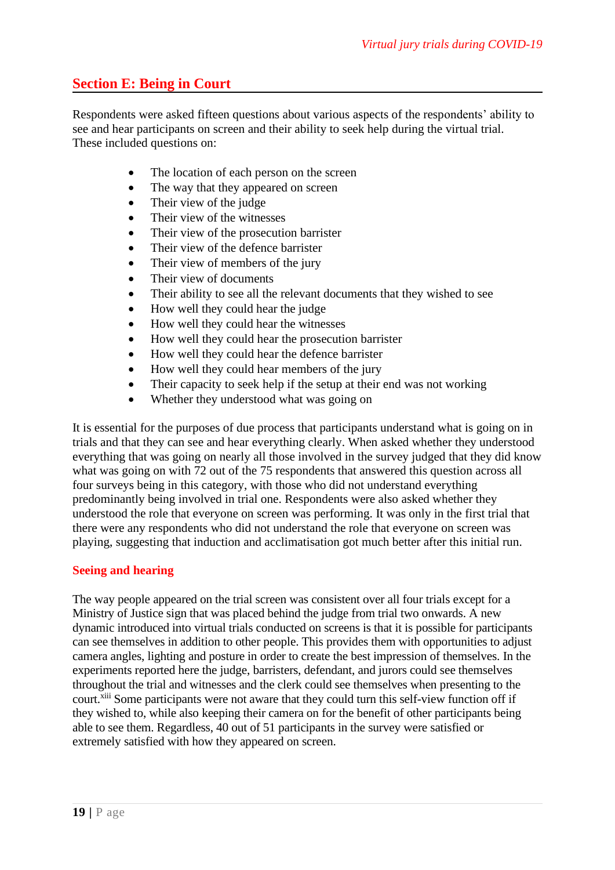### **Section E: Being in Court**

Respondents were asked fifteen questions about various aspects of the respondents' ability to see and hear participants on screen and their ability to seek help during the virtual trial. These included questions on:

- The location of each person on the screen
- The way that they appeared on screen
- Their view of the judge
- Their view of the witnesses
- Their view of the prosecution barrister
- Their view of the defence barrister
- Their view of members of the jury
- Their view of documents
- Their ability to see all the relevant documents that they wished to see
- How well they could hear the judge
- How well they could hear the witnesses
- How well they could hear the prosecution barrister
- How well they could hear the defence barrister
- How well they could hear members of the jury
- Their capacity to seek help if the setup at their end was not working
- Whether they understood what was going on

It is essential for the purposes of due process that participants understand what is going on in trials and that they can see and hear everything clearly. When asked whether they understood everything that was going on nearly all those involved in the survey judged that they did know what was going on with 72 out of the 75 respondents that answered this question across all four surveys being in this category, with those who did not understand everything predominantly being involved in trial one. Respondents were also asked whether they understood the role that everyone on screen was performing. It was only in the first trial that there were any respondents who did not understand the role that everyone on screen was playing, suggesting that induction and acclimatisation got much better after this initial run.

#### **Seeing and hearing**

The way people appeared on the trial screen was consistent over all four trials except for a Ministry of Justice sign that was placed behind the judge from trial two onwards. A new dynamic introduced into virtual trials conducted on screens is that it is possible for participants can see themselves in addition to other people. This provides them with opportunities to adjust camera angles, lighting and posture in order to create the best impression of themselves. In the experiments reported here the judge, barristers, defendant, and jurors could see themselves throughout the trial and witnesses and the clerk could see themselves when presenting to the court.<sup>xiii</sup> Some participants were not aware that they could turn this self-view function off if they wished to, while also keeping their camera on for the benefit of other participants being able to see them. Regardless, 40 out of 51 participants in the survey were satisfied or extremely satisfied with how they appeared on screen.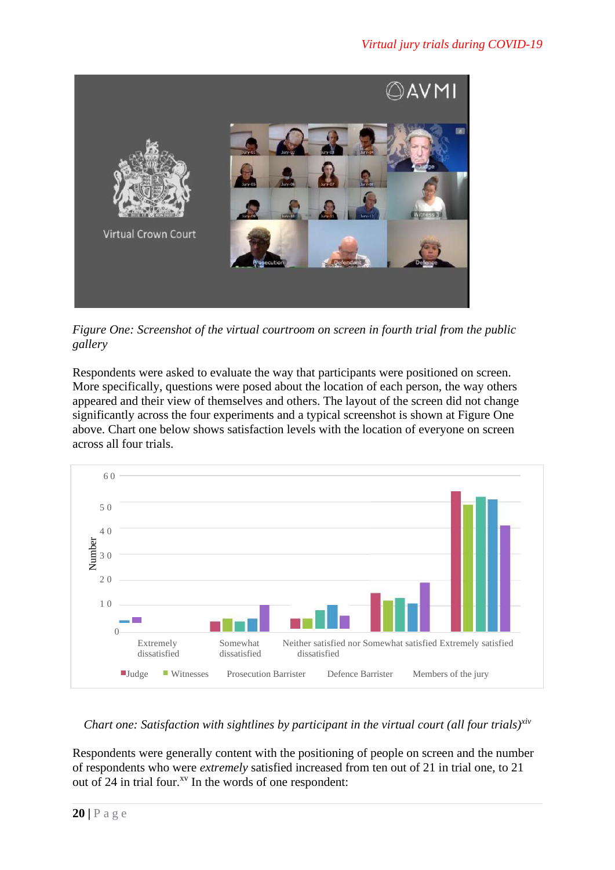

*Figure One: Screenshot of the virtual courtroom on screen in fourth trial from the public gallery*

Respondents were asked to evaluate the way that participants were positioned on screen. More specifically, questions were posed about the location of each person, the way others appeared and their view of themselves and others. The layout of the screen did not change significantly across the four experiments and a typical screenshot is shown at Figure One above. Chart one below shows satisfaction levels with the location of everyone on screen across all four trials.



#### *Chart one: Satisfaction with sightlines by participant in the virtual court (all four trials)xiv*

Respondents were generally content with the positioning of people on screen and the number of respondents who were *extremely* satisfied increased from ten out of 21 in trial one, to 21 out of 24 in trial four.<sup> $xy$ </sup> In the words of one respondent: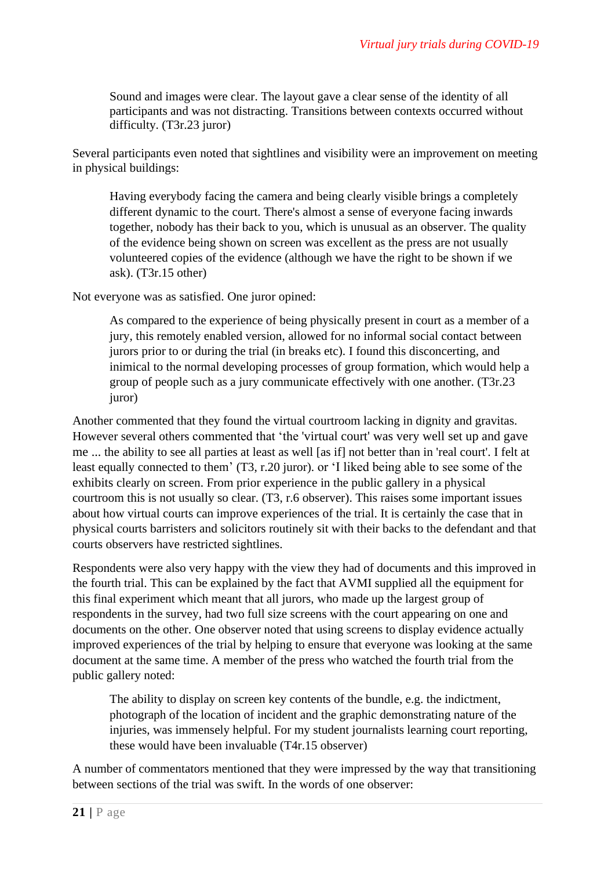Sound and images were clear. The layout gave a clear sense of the identity of all participants and was not distracting. Transitions between contexts occurred without difficulty. (T3r.23 juror)

Several participants even noted that sightlines and visibility were an improvement on meeting in physical buildings:

Having everybody facing the camera and being clearly visible brings a completely different dynamic to the court. There's almost a sense of everyone facing inwards together, nobody has their back to you, which is unusual as an observer. The quality of the evidence being shown on screen was excellent as the press are not usually volunteered copies of the evidence (although we have the right to be shown if we ask). (T3r.15 other)

Not everyone was as satisfied. One juror opined:

As compared to the experience of being physically present in court as a member of a jury, this remotely enabled version, allowed for no informal social contact between jurors prior to or during the trial (in breaks etc). I found this disconcerting, and inimical to the normal developing processes of group formation, which would help a group of people such as a jury communicate effectively with one another. (T3r.23 juror)

Another commented that they found the virtual courtroom lacking in dignity and gravitas. However several others commented that 'the 'virtual court' was very well set up and gave me ... the ability to see all parties at least as well [as if] not better than in 'real court'. I felt at least equally connected to them' (T3, r.20 juror). or 'I liked being able to see some of the exhibits clearly on screen. From prior experience in the public gallery in a physical courtroom this is not usually so clear. (T3, r.6 observer). This raises some important issues about how virtual courts can improve experiences of the trial. It is certainly the case that in physical courts barristers and solicitors routinely sit with their backs to the defendant and that courts observers have restricted sightlines.

Respondents were also very happy with the view they had of documents and this improved in the fourth trial. This can be explained by the fact that AVMI supplied all the equipment for this final experiment which meant that all jurors, who made up the largest group of respondents in the survey, had two full size screens with the court appearing on one and documents on the other. One observer noted that using screens to display evidence actually improved experiences of the trial by helping to ensure that everyone was looking at the same document at the same time. A member of the press who watched the fourth trial from the public gallery noted:

The ability to display on screen key contents of the bundle, e.g. the indictment, photograph of the location of incident and the graphic demonstrating nature of the injuries, was immensely helpful. For my student journalists learning court reporting, these would have been invaluable (T4r.15 observer)

A number of commentators mentioned that they were impressed by the way that transitioning between sections of the trial was swift. In the words of one observer: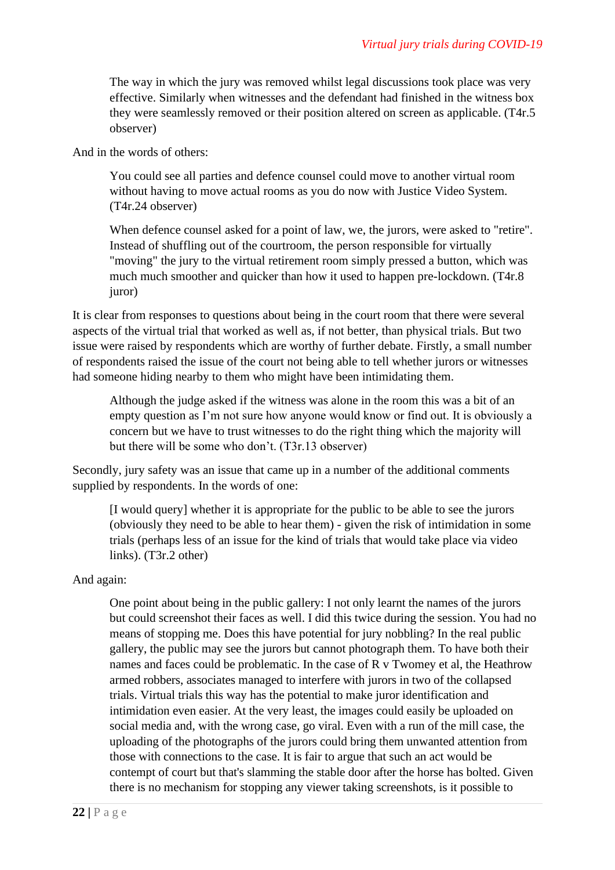The way in which the jury was removed whilst legal discussions took place was very effective. Similarly when witnesses and the defendant had finished in the witness box they were seamlessly removed or their position altered on screen as applicable. (T4r.5 observer)

And in the words of others:

You could see all parties and defence counsel could move to another virtual room without having to move actual rooms as you do now with Justice Video System. (T4r.24 observer)

When defence counsel asked for a point of law, we, the jurors, were asked to "retire". Instead of shuffling out of the courtroom, the person responsible for virtually "moving" the jury to the virtual retirement room simply pressed a button, which was much much smoother and quicker than how it used to happen pre-lockdown. (T4r.8 juror)

It is clear from responses to questions about being in the court room that there were several aspects of the virtual trial that worked as well as, if not better, than physical trials. But two issue were raised by respondents which are worthy of further debate. Firstly, a small number of respondents raised the issue of the court not being able to tell whether jurors or witnesses had someone hiding nearby to them who might have been intimidating them.

Although the judge asked if the witness was alone in the room this was a bit of an empty question as I'm not sure how anyone would know or find out. It is obviously a concern but we have to trust witnesses to do the right thing which the majority will but there will be some who don't. (T3r.13 observer)

Secondly, jury safety was an issue that came up in a number of the additional comments supplied by respondents. In the words of one:

[I would query] whether it is appropriate for the public to be able to see the jurors (obviously they need to be able to hear them) - given the risk of intimidation in some trials (perhaps less of an issue for the kind of trials that would take place via video links). (T3r.2 other)

And again:

One point about being in the public gallery: I not only learnt the names of the jurors but could screenshot their faces as well. I did this twice during the session. You had no means of stopping me. Does this have potential for jury nobbling? In the real public gallery, the public may see the jurors but cannot photograph them. To have both their names and faces could be problematic. In the case of R v Twomey et al, the Heathrow armed robbers, associates managed to interfere with jurors in two of the collapsed trials. Virtual trials this way has the potential to make juror identification and intimidation even easier. At the very least, the images could easily be uploaded on social media and, with the wrong case, go viral. Even with a run of the mill case, the uploading of the photographs of the jurors could bring them unwanted attention from those with connections to the case. It is fair to argue that such an act would be contempt of court but that's slamming the stable door after the horse has bolted. Given there is no mechanism for stopping any viewer taking screenshots, is it possible to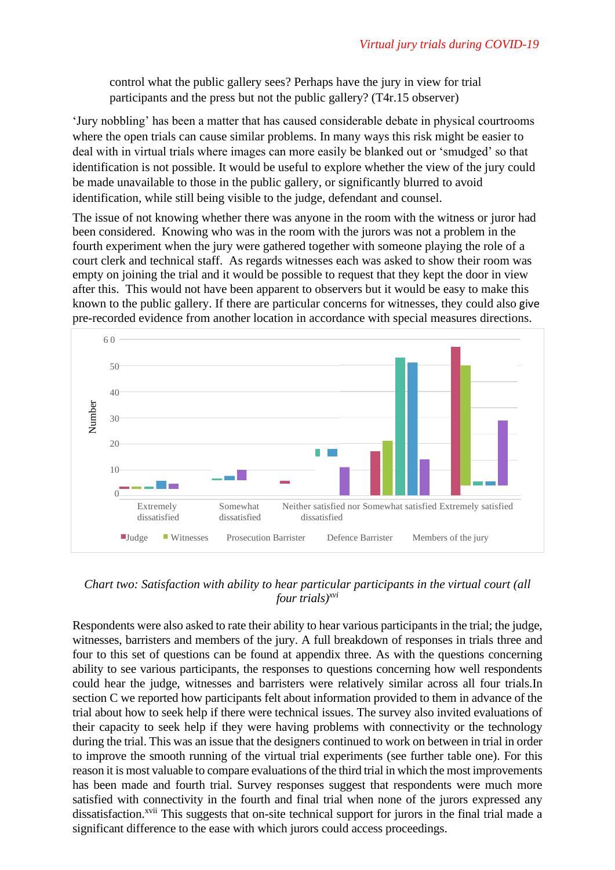control what the public gallery sees? Perhaps have the jury in view for trial participants and the press but not the public gallery? (T4r.15 observer)

'Jury nobbling' has been a matter that has caused considerable debate in physical courtrooms where the open trials can cause similar problems. In many ways this risk might be easier to deal with in virtual trials where images can more easily be blanked out or 'smudged' so that identification is not possible. It would be useful to explore whether the view of the jury could be made unavailable to those in the public gallery, or significantly blurred to avoid identification, while still being visible to the judge, defendant and counsel.

The issue of not knowing whether there was anyone in the room with the witness or juror had been considered. Knowing who was in the room with the jurors was not a problem in the fourth experiment when the jury were gathered together with someone playing the role of a court clerk and technical staff. As regards witnesses each was asked to show their room was empty on joining the trial and it would be possible to request that they kept the door in view after this. This would not have been apparent to observers but it would be easy to make this known to the public gallery. If there are particular concerns for witnesses, they could also give pre-recorded evidence from another location in accordance with special measures directions.



*Chart two: Satisfaction with ability to hear particular participants in the virtual court (all four trials)xvi*

Respondents were also asked to rate their ability to hear various participants in the trial; the judge, witnesses, barristers and members of the jury. A full breakdown of responses in trials three and four to this set of questions can be found at appendix three. As with the questions concerning ability to see various participants, the responses to questions concerning how well respondents could hear the judge, witnesses and barristers were relatively similar across all four trials.In section C we reported how participants felt about information provided to them in advance of the trial about how to seek help if there were technical issues. The survey also invited evaluations of their capacity to seek help if they were having problems with connectivity or the technology during the trial. This was an issue that the designers continued to work on between in trial in order to improve the smooth running of the virtual trial experiments (see further table one). For this reason it is most valuable to compare evaluations of the third trial in which the most improvements has been made and fourth trial. Survey responses suggest that respondents were much more satisfied with connectivity in the fourth and final trial when none of the jurors expressed any dissatisfaction.<sup>xvii</sup> This suggests that on-site technical support for jurors in the final trial made a significant difference to the ease with which jurors could access proceedings.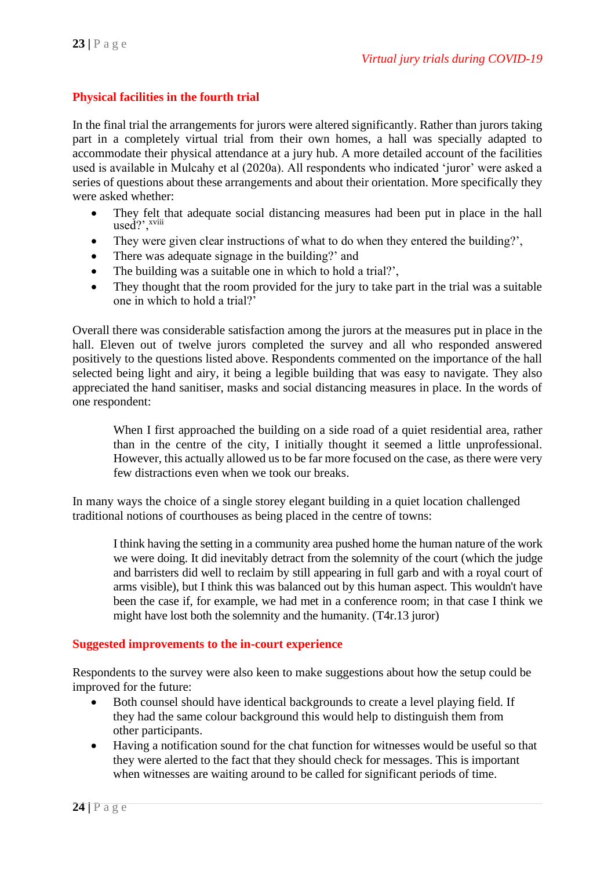#### **Physical facilities in the fourth trial**

In the final trial the arrangements for jurors were altered significantly. Rather than jurors taking part in a completely virtual trial from their own homes, a hall was specially adapted to accommodate their physical attendance at a jury hub. A more detailed account of the facilities used is available in Mulcahy et al (2020a). All respondents who indicated 'juror' were asked a series of questions about these arrangements and about their orientation. More specifically they were asked whether:

- They felt that adequate social distancing measures had been put in place in the hall  $used?$ <sup>*xviii*</sup>
- They were given clear instructions of what to do when they entered the building?',
- There was adequate signage in the building?' and
- The building was a suitable one in which to hold a trial?',
- They thought that the room provided for the jury to take part in the trial was a suitable one in which to hold a trial?'

Overall there was considerable satisfaction among the jurors at the measures put in place in the hall. Eleven out of twelve jurors completed the survey and all who responded answered positively to the questions listed above. Respondents commented on the importance of the hall selected being light and airy, it being a legible building that was easy to navigate. They also appreciated the hand sanitiser, masks and social distancing measures in place. In the words of one respondent:

When I first approached the building on a side road of a quiet residential area, rather than in the centre of the city, I initially thought it seemed a little unprofessional. However, this actually allowed us to be far more focused on the case, as there were very few distractions even when we took our breaks.

In many ways the choice of a single storey elegant building in a quiet location challenged traditional notions of courthouses as being placed in the centre of towns:

I think having the setting in a community area pushed home the human nature of the work we were doing. It did inevitably detract from the solemnity of the court (which the judge and barristers did well to reclaim by still appearing in full garb and with a royal court of arms visible), but I think this was balanced out by this human aspect. This wouldn't have been the case if, for example, we had met in a conference room; in that case I think we might have lost both the solemnity and the humanity. (T4r.13 juror)

#### **Suggested improvements to the in-court experience**

Respondents to the survey were also keen to make suggestions about how the setup could be improved for the future:

- Both counsel should have identical backgrounds to create a level playing field. If they had the same colour background this would help to distinguish them from other participants.
- Having a notification sound for the chat function for witnesses would be useful so that they were alerted to the fact that they should check for messages. This is important when witnesses are waiting around to be called for significant periods of time.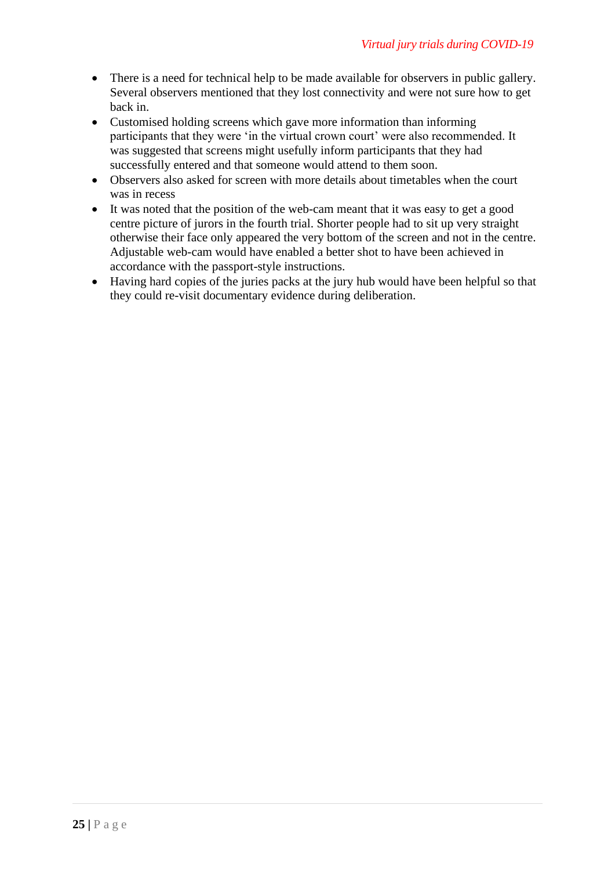- There is a need for technical help to be made available for observers in public gallery. Several observers mentioned that they lost connectivity and were not sure how to get back in.
- Customised holding screens which gave more information than informing participants that they were 'in the virtual crown court' were also recommended. It was suggested that screens might usefully inform participants that they had successfully entered and that someone would attend to them soon.
- Observers also asked for screen with more details about timetables when the court was in recess
- It was noted that the position of the web-cam meant that it was easy to get a good centre picture of jurors in the fourth trial. Shorter people had to sit up very straight otherwise their face only appeared the very bottom of the screen and not in the centre. Adjustable web-cam would have enabled a better shot to have been achieved in accordance with the passport-style instructions.
- Having hard copies of the juries packs at the jury hub would have been helpful so that they could re-visit documentary evidence during deliberation.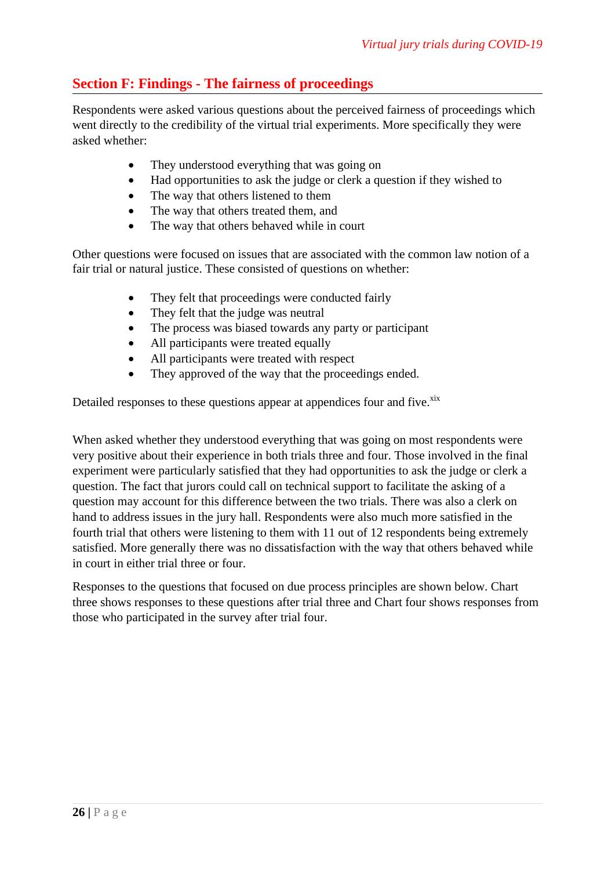### **Section F: Findings - The fairness of proceedings**

Respondents were asked various questions about the perceived fairness of proceedings which went directly to the credibility of the virtual trial experiments. More specifically they were asked whether:

- They understood everything that was going on
- Had opportunities to ask the judge or clerk a question if they wished to
- The way that others listened to them
- The way that others treated them, and
- The way that others behaved while in court

Other questions were focused on issues that are associated with the common law notion of a fair trial or natural justice. These consisted of questions on whether:

- They felt that proceedings were conducted fairly
- They felt that the judge was neutral
- The process was biased towards any party or participant
- All participants were treated equally
- All participants were treated with respect
- They approved of the way that the proceedings ended.

Detailed responses to these questions appear at appendices four and five.<sup>xix</sup>

When asked whether they understood everything that was going on most respondents were very positive about their experience in both trials three and four. Those involved in the final experiment were particularly satisfied that they had opportunities to ask the judge or clerk a question. The fact that jurors could call on technical support to facilitate the asking of a question may account for this difference between the two trials. There was also a clerk on hand to address issues in the jury hall. Respondents were also much more satisfied in the fourth trial that others were listening to them with 11 out of 12 respondents being extremely satisfied. More generally there was no dissatisfaction with the way that others behaved while in court in either trial three or four.

Responses to the questions that focused on due process principles are shown below. Chart three shows responses to these questions after trial three and Chart four shows responses from those who participated in the survey after trial four.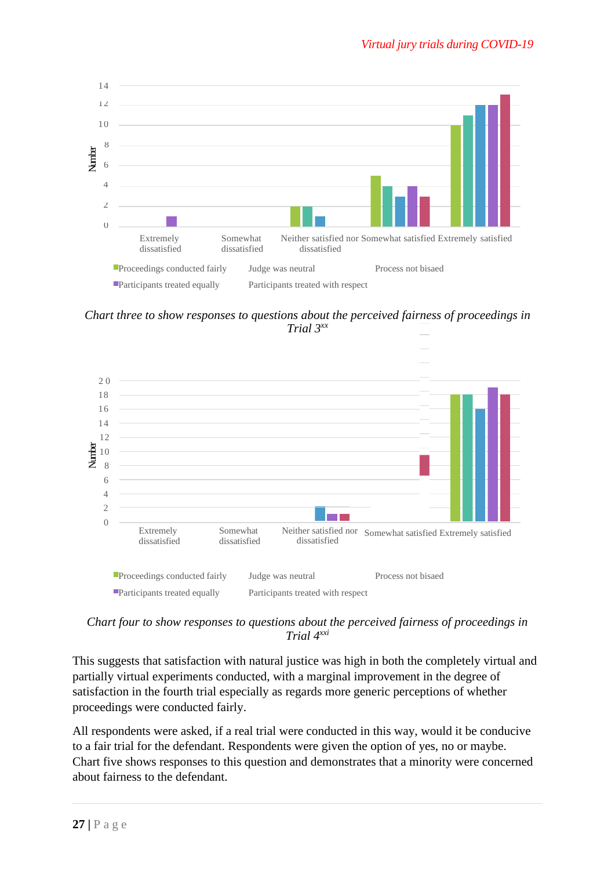

*Chart three to show responses to questions about the perceived fairness of proceedings in Trial 3xx*



*Chart four to show responses to questions about the perceived fairness of proceedings in Trial 4xxi*

This suggests that satisfaction with natural justice was high in both the completely virtual and partially virtual experiments conducted, with a marginal improvement in the degree of satisfaction in the fourth trial especially as regards more generic perceptions of whether proceedings were conducted fairly.

All respondents were asked, if a real trial were conducted in this way, would it be conducive to a fair trial for the defendant. Respondents were given the option of yes, no or maybe. Chart five shows responses to this question and demonstrates that a minority were concerned about fairness to the defendant.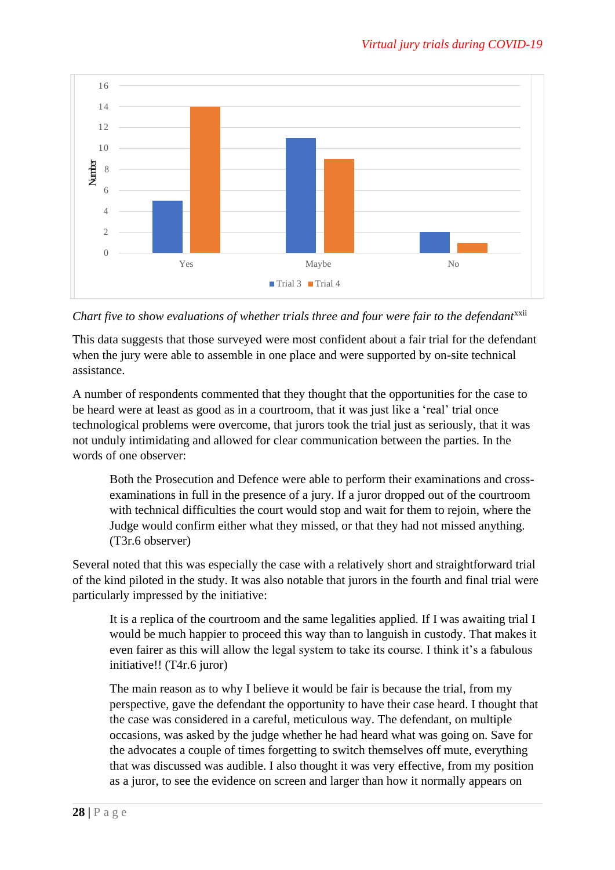

*Chart five to show evaluations of whether trials three and four were fair to the defendant*<sup>xxii</sup>

This data suggests that those surveyed were most confident about a fair trial for the defendant when the jury were able to assemble in one place and were supported by on-site technical assistance.

A number of respondents commented that they thought that the opportunities for the case to be heard were at least as good as in a courtroom, that it was just like a 'real' trial once technological problems were overcome, that jurors took the trial just as seriously, that it was not unduly intimidating and allowed for clear communication between the parties. In the words of one observer:

Both the Prosecution and Defence were able to perform their examinations and crossexaminations in full in the presence of a jury. If a juror dropped out of the courtroom with technical difficulties the court would stop and wait for them to rejoin, where the Judge would confirm either what they missed, or that they had not missed anything. (T3r.6 observer)

Several noted that this was especially the case with a relatively short and straightforward trial of the kind piloted in the study. It was also notable that jurors in the fourth and final trial were particularly impressed by the initiative:

It is a replica of the courtroom and the same legalities applied. If I was awaiting trial I would be much happier to proceed this way than to languish in custody. That makes it even fairer as this will allow the legal system to take its course. I think it's a fabulous initiative!! (T4r.6 juror)

The main reason as to why I believe it would be fair is because the trial, from my perspective, gave the defendant the opportunity to have their case heard. I thought that the case was considered in a careful, meticulous way. The defendant, on multiple occasions, was asked by the judge whether he had heard what was going on. Save for the advocates a couple of times forgetting to switch themselves off mute, everything that was discussed was audible. I also thought it was very effective, from my position as a juror, to see the evidence on screen and larger than how it normally appears on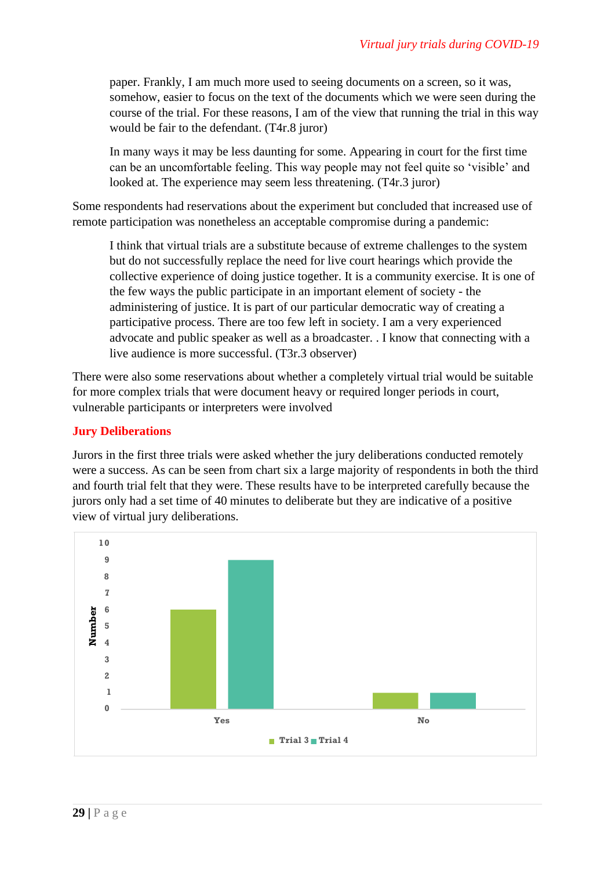paper. Frankly, I am much more used to seeing documents on a screen, so it was, somehow, easier to focus on the text of the documents which we were seen during the course of the trial. For these reasons, I am of the view that running the trial in this way would be fair to the defendant. (T4r.8 juror)

In many ways it may be less daunting for some. Appearing in court for the first time can be an uncomfortable feeling. This way people may not feel quite so 'visible' and looked at. The experience may seem less threatening. (T4r.3 juror)

Some respondents had reservations about the experiment but concluded that increased use of remote participation was nonetheless an acceptable compromise during a pandemic:

I think that virtual trials are a substitute because of extreme challenges to the system but do not successfully replace the need for live court hearings which provide the collective experience of doing justice together. It is a community exercise. It is one of the few ways the public participate in an important element of society - the administering of justice. It is part of our particular democratic way of creating a participative process. There are too few left in society. I am a very experienced advocate and public speaker as well as a broadcaster. . I know that connecting with a live audience is more successful. (T3r.3 observer)

There were also some reservations about whether a completely virtual trial would be suitable for more complex trials that were document heavy or required longer periods in court, vulnerable participants or interpreters were involved

#### **Jury Deliberations**

Jurors in the first three trials were asked whether the jury deliberations conducted remotely were a success. As can be seen from chart six a large majority of respondents in both the third and fourth trial felt that they were. These results have to be interpreted carefully because the jurors only had a set time of 40 minutes to deliberate but they are indicative of a positive view of virtual jury deliberations.

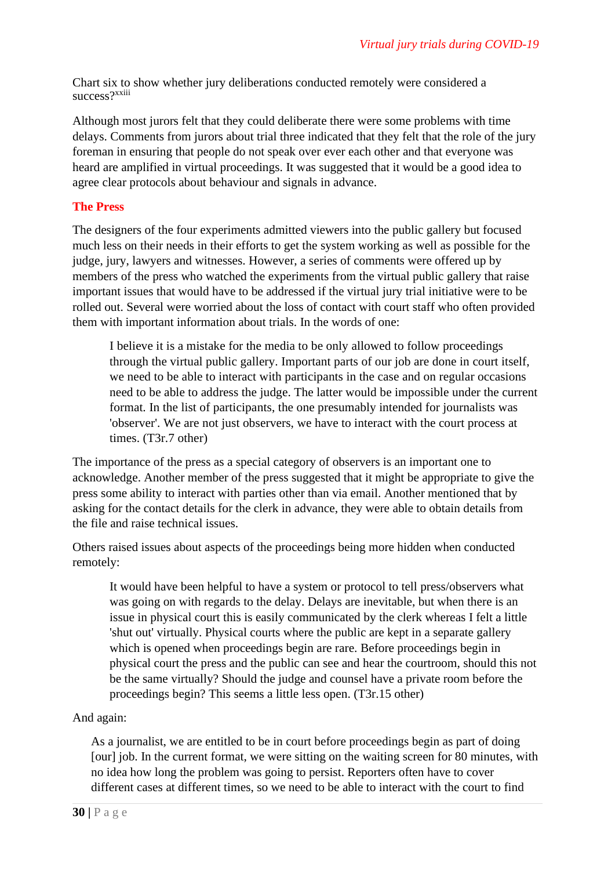Chart six to show whether jury deliberations conducted remotely were considered a success?xxiii

Although most jurors felt that they could deliberate there were some problems with time delays. Comments from jurors about trial three indicated that they felt that the role of the jury foreman in ensuring that people do not speak over ever each other and that everyone was heard are amplified in virtual proceedings. It was suggested that it would be a good idea to agree clear protocols about behaviour and signals in advance.

#### **The Press**

The designers of the four experiments admitted viewers into the public gallery but focused much less on their needs in their efforts to get the system working as well as possible for the judge, jury, lawyers and witnesses. However, a series of comments were offered up by members of the press who watched the experiments from the virtual public gallery that raise important issues that would have to be addressed if the virtual jury trial initiative were to be rolled out. Several were worried about the loss of contact with court staff who often provided them with important information about trials. In the words of one:

I believe it is a mistake for the media to be only allowed to follow proceedings through the virtual public gallery. Important parts of our job are done in court itself, we need to be able to interact with participants in the case and on regular occasions need to be able to address the judge. The latter would be impossible under the current format. In the list of participants, the one presumably intended for journalists was 'observer'. We are not just observers, we have to interact with the court process at times. (T3r.7 other)

The importance of the press as a special category of observers is an important one to acknowledge. Another member of the press suggested that it might be appropriate to give the press some ability to interact with parties other than via email. Another mentioned that by asking for the contact details for the clerk in advance, they were able to obtain details from the file and raise technical issues.

Others raised issues about aspects of the proceedings being more hidden when conducted remotely:

It would have been helpful to have a system or protocol to tell press/observers what was going on with regards to the delay. Delays are inevitable, but when there is an issue in physical court this is easily communicated by the clerk whereas I felt a little 'shut out' virtually. Physical courts where the public are kept in a separate gallery which is opened when proceedings begin are rare. Before proceedings begin in physical court the press and the public can see and hear the courtroom, should this not be the same virtually? Should the judge and counsel have a private room before the proceedings begin? This seems a little less open. (T3r.15 other)

#### And again:

As a journalist, we are entitled to be in court before proceedings begin as part of doing [our] job. In the current format, we were sitting on the waiting screen for 80 minutes, with no idea how long the problem was going to persist. Reporters often have to cover different cases at different times, so we need to be able to interact with the court to find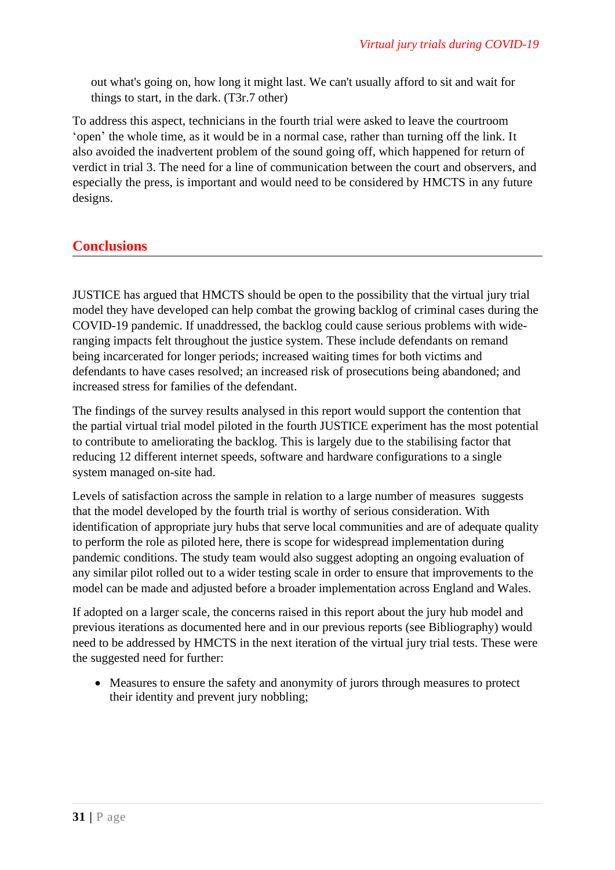out what's going on, how long it might last. We can't usually afford to sit and wait for things to start, in the dark. (T3r.7 other)

To address this aspect, technicians in the fourth trial were asked to leave the courtroom 'open' the whole time, as it would be in a normal case, rather than turning off the link. It also avoided the inadvertent problem of the sound going off, which happened for return of verdict in trial 3. The need for a line of communication between the court and observers, and especially the press, is important and would need to be considered by HMCTS in any future designs.

### **Conclusions**

JUSTICE has argued that HMCTS should be open to the possibility that the virtual jury trial model they have developed can help combat the growing backlog of criminal cases during the COVID-19 pandemic. If unaddressed, the backlog could cause serious problems with wideranging impacts felt throughout the justice system. These include defendants on remand being incarcerated for longer periods; increased waiting times for both victims and defendants to have cases resolved; an increased risk of prosecutions being abandoned; and increased stress for families of the defendant.

The findings of the survey results analysed in this report would support the contention that the partial virtual trial model piloted in the fourth JUSTICE experiment has the most potential to contribute to ameliorating the backlog. This is largely due to the stabilising factor that reducing 12 different internet speeds, software and hardware configurations to a single system managed on-site had.

Levels of satisfaction across the sample in relation to a large number of measures suggests that the model developed by the fourth trial is worthy of serious consideration. With identification of appropriate jury hubs that serve local communities and are of adequate quality to perform the role as piloted here, there is scope for widespread implementation during pandemic conditions. The study team would also suggest adopting an ongoing evaluation of any similar pilot rolled out to a wider testing scale in order to ensure that improvements to the model can be made and adjusted before a broader implementation across England and Wales.

If adopted on a larger scale, the concerns raised in this report about the jury hub model and previous iterations as documented here and in our previous reports (see Bibliography) would need to be addressed by HMCTS in the next iteration of the virtual jury trial tests. These were the suggested need for further:

• Measures to ensure the safety and anonymity of jurors through measures to protect their identity and prevent jury nobbling;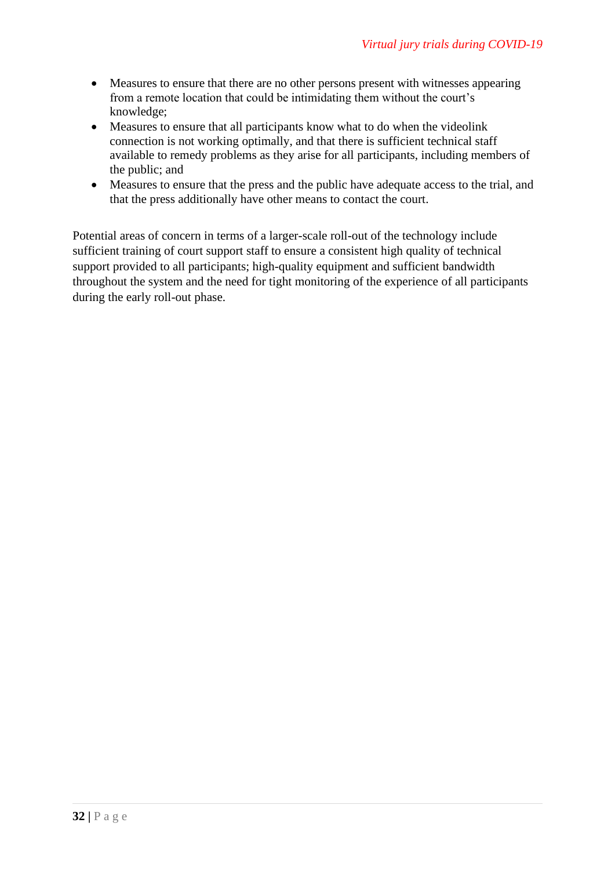- Measures to ensure that there are no other persons present with witnesses appearing from a remote location that could be intimidating them without the court's knowledge;
- Measures to ensure that all participants know what to do when the videolink connection is not working optimally, and that there is sufficient technical staff available to remedy problems as they arise for all participants, including members of the public; and
- Measures to ensure that the press and the public have adequate access to the trial, and that the press additionally have other means to contact the court.

Potential areas of concern in terms of a larger-scale roll-out of the technology include sufficient training of court support staff to ensure a consistent high quality of technical support provided to all participants; high-quality equipment and sufficient bandwidth throughout the system and the need for tight monitoring of the experience of all participants during the early roll-out phase.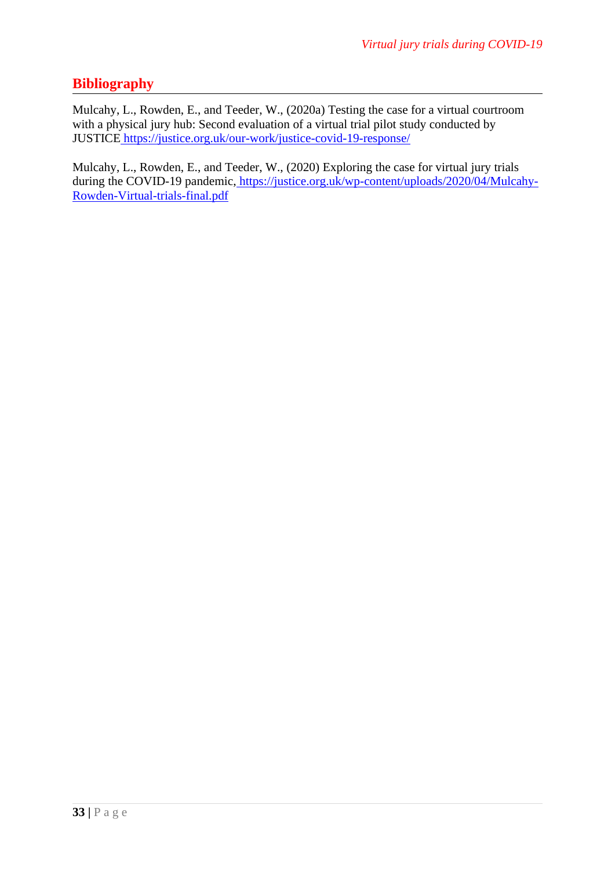### **Bibliography**

Mulcahy, L., Rowden, E., and Teeder, W., (2020a) Testing the case for a virtual courtroom with a physical jury hub: Second evaluation of a virtual trial pilot study conducted by JUSTICE <https://justice.org.uk/our-work/justice-covid-19-response/>

Mulcahy, L., Rowden, E., and Teeder, W., (2020) Exploring the case for virtual jury trials during the COVID-19 pandemic, [https://justice.org.uk/wp-content/uploads/2020/04/Mulcahy-](https://justice.org.uk/wp-content/uploads/2020/04/Mulcahy-Rowden-Virtual-trials-final.pdf)[Rowden-Virtual-trials-final.pdf](https://justice.org.uk/wp-content/uploads/2020/04/Mulcahy-Rowden-Virtual-trials-final.pdf)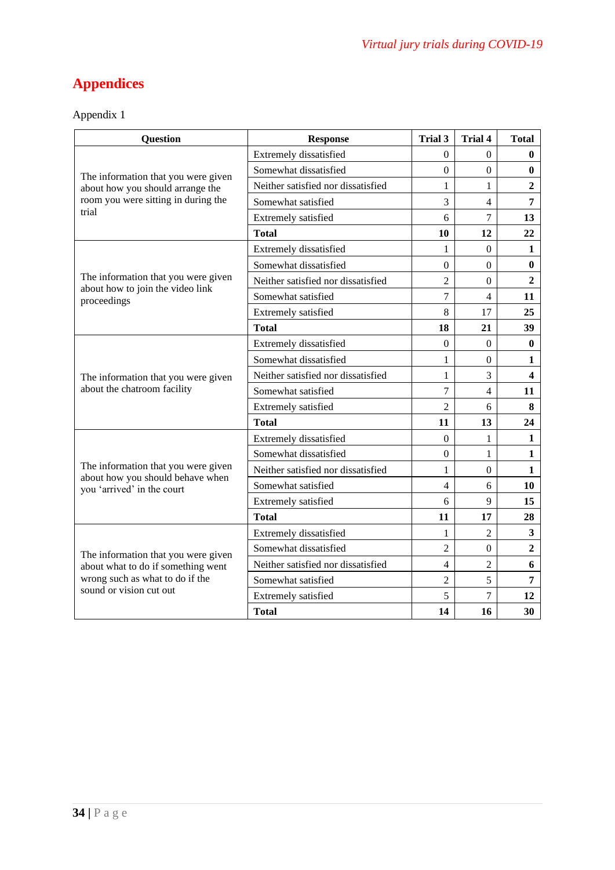# **Appendices**

| <b>Question</b>                                                       | <b>Response</b>                    | Trial 3        | <b>Trial 4</b>   | <b>Total</b>   |
|-----------------------------------------------------------------------|------------------------------------|----------------|------------------|----------------|
|                                                                       | Extremely dissatisfied             | $\Omega$       | $\mathbf{0}$     | $\bf{0}$       |
| The information that you were given                                   | Somewhat dissatisfied              | $\theta$       | $\Omega$         | $\mathbf{0}$   |
| about how you should arrange the                                      | Neither satisfied nor dissatisfied | 1              | 1                | $\overline{2}$ |
| room you were sitting in during the                                   | Somewhat satisfied                 | 3              | 4                | 7              |
| trial                                                                 | Extremely satisfied                | 6              | $\overline{7}$   | 13             |
|                                                                       | <b>Total</b>                       | 10             | 12               | 22             |
|                                                                       | Extremely dissatisfied             | $\mathbf{1}$   | $\boldsymbol{0}$ | $\mathbf{1}$   |
|                                                                       | Somewhat dissatisfied              | $\Omega$       | $\Omega$         | $\bf{0}$       |
| The information that you were given                                   | Neither satisfied nor dissatisfied | $\overline{c}$ | $\mathbf{0}$     | $\overline{2}$ |
| about how to join the video link<br>proceedings                       | Somewhat satisfied                 | $\overline{7}$ | 4                | 11             |
|                                                                       | Extremely satisfied                | 8              | 17               | 25             |
|                                                                       | <b>Total</b>                       | 18             | 21               | 39             |
|                                                                       | Extremely dissatisfied             | $\theta$       | $\Omega$         | $\bf{0}$       |
|                                                                       | Somewhat dissatisfied              | 1              | $\Omega$         | 1              |
| The information that you were given                                   | Neither satisfied nor dissatisfied | 1              | 3                | 4              |
| about the chatroom facility                                           | Somewhat satisfied                 | 7              | $\overline{4}$   | 11             |
|                                                                       | Extremely satisfied                | $\overline{2}$ | 6                | 8              |
|                                                                       | <b>Total</b>                       | 11             | 13               | 24             |
|                                                                       | Extremely dissatisfied             | $\Omega$       | 1                | 1              |
|                                                                       | Somewhat dissatisfied              | $\theta$       | 1                | 1              |
| The information that you were given                                   | Neither satisfied nor dissatisfied | 1              | $\boldsymbol{0}$ | $\mathbf{1}$   |
| about how you should behave when<br>you 'arrived' in the court        | Somewhat satisfied                 | $\overline{4}$ | 6                | 10             |
|                                                                       | Extremely satisfied                | 6              | 9                | 15             |
|                                                                       | <b>Total</b>                       | 11             | 17               | 28             |
|                                                                       | Extremely dissatisfied             | 1              | 2                | 3              |
| The information that you were given                                   | Somewhat dissatisfied              | $\overline{2}$ | $\mathbf{0}$     | $\overline{2}$ |
| about what to do if something went<br>wrong such as what to do if the | Neither satisfied nor dissatisfied | 4              | $\overline{2}$   | 6              |
|                                                                       | Somewhat satisfied                 | $\overline{c}$ | 5                | $\overline{7}$ |
| sound or vision cut out                                               | Extremely satisfied                | 5              | 7                | 12             |
|                                                                       | <b>Total</b>                       | 14             | 16               | 30             |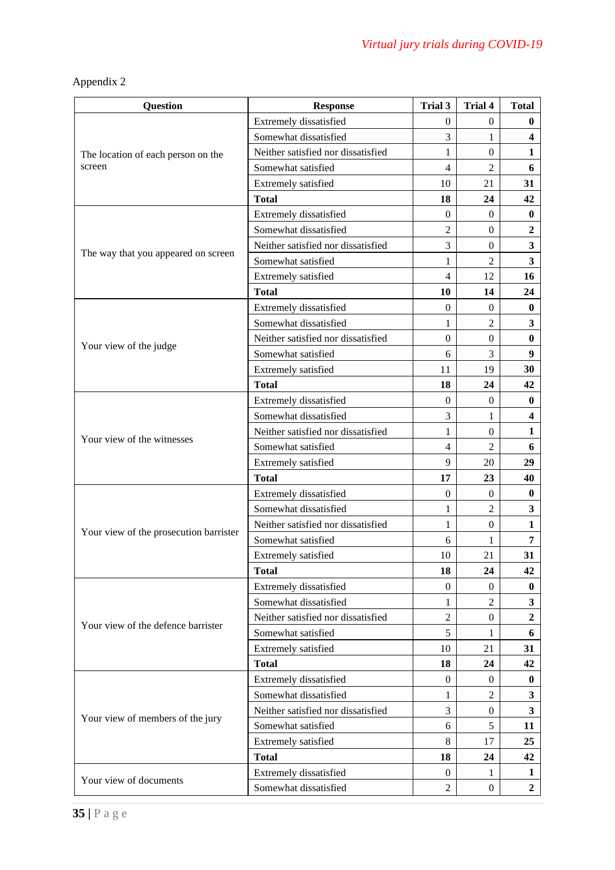| <b>Question</b>                        | <b>Response</b>                    | Trial 3          | Trial 4          | <b>Total</b>            |
|----------------------------------------|------------------------------------|------------------|------------------|-------------------------|
|                                        | Extremely dissatisfied             | $\mathbf{0}$     | $\boldsymbol{0}$ | $\bf{0}$                |
|                                        | Somewhat dissatisfied              | 3                | 1                | $\overline{\mathbf{4}}$ |
| The location of each person on the     | Neither satisfied nor dissatisfied | 1                | $\boldsymbol{0}$ | 1                       |
| screen                                 | Somewhat satisfied                 | $\overline{4}$   | $\overline{2}$   | 6                       |
|                                        | Extremely satisfied                | 10               | 21               | 31                      |
|                                        | <b>Total</b>                       | 18               | 24               | 42                      |
|                                        | Extremely dissatisfied             | $\Omega$         | $\mathbf{0}$     | $\bf{0}$                |
|                                        | Somewhat dissatisfied              | $\overline{2}$   | $\boldsymbol{0}$ | $\boldsymbol{2}$        |
|                                        | Neither satisfied nor dissatisfied | 3                | $\boldsymbol{0}$ | 3                       |
| The way that you appeared on screen    | Somewhat satisfied                 | 1                | $\overline{2}$   | $\overline{\mathbf{3}}$ |
|                                        | Extremely satisfied                | $\overline{4}$   | 12               | 16                      |
|                                        | <b>Total</b>                       | 10               | 14               | 24                      |
|                                        | Extremely dissatisfied             | $\mathbf{0}$     | $\mathbf{0}$     | $\bf{0}$                |
|                                        | Somewhat dissatisfied              | 1                | $\overline{2}$   | 3                       |
|                                        | Neither satisfied nor dissatisfied | $\boldsymbol{0}$ | $\boldsymbol{0}$ | $\bf{0}$                |
| Your view of the judge                 | Somewhat satisfied                 | 6                | 3                | 9                       |
|                                        | Extremely satisfied                | 11               | 19               | 30                      |
|                                        | <b>Total</b>                       | 18               | 24               | 42                      |
|                                        | Extremely dissatisfied             | $\mathbf{0}$     | $\boldsymbol{0}$ | $\bf{0}$                |
|                                        | Somewhat dissatisfied              | 3                | 1                | 4                       |
|                                        | Neither satisfied nor dissatisfied | 1                | $\boldsymbol{0}$ | $\mathbf{1}$            |
| Your view of the witnesses             | Somewhat satisfied                 | $\overline{4}$   | $\overline{2}$   | 6                       |
|                                        | Extremely satisfied                | 9                | 20               | 29                      |
|                                        | <b>Total</b>                       | 17               | 23               | 40                      |
|                                        | Extremely dissatisfied             | $\mathbf{0}$     | $\mathbf{0}$     | $\bf{0}$                |
|                                        | Somewhat dissatisfied              | 1                | $\overline{2}$   | 3                       |
|                                        | Neither satisfied nor dissatisfied | 1                | $\boldsymbol{0}$ | 1                       |
| Your view of the prosecution barrister | Somewhat satisfied                 | 6                | 1                | 7                       |
|                                        | Extremely satisfied                | 10               | 21               | 31                      |
|                                        | <b>Total</b>                       | 18               | 24               | 42                      |
|                                        | Extremely dissatisfied             | $\mathbf{0}$     | $\mathbf{0}$     | $\bf{0}$                |
|                                        | Somewhat dissatisfied              | 1                | $\overline{c}$   | $\mathbf{3}$            |
| Your view of the defence barrister     | Neither satisfied nor dissatisfied | $\overline{c}$   | $\boldsymbol{0}$ | $\overline{2}$          |
|                                        | Somewhat satisfied                 | 5                | 1                | 6                       |
|                                        | Extremely satisfied                | 10               | 21               | 31                      |
|                                        | <b>Total</b>                       | 18               | 24               | 42                      |
|                                        | Extremely dissatisfied             | $\theta$         | $\theta$         | $\bf{0}$                |
| Your view of members of the jury       | Somewhat dissatisfied              | 1                | $\mathfrak{2}$   | $\mathbf{3}$            |
|                                        | Neither satisfied nor dissatisfied | 3                | $\mathbf{0}$     | 3                       |
|                                        | Somewhat satisfied                 | 6                | 5                | 11                      |
|                                        | Extremely satisfied                | 8                | 17               | 25                      |
|                                        | <b>Total</b>                       | 18               | 24               | 42                      |
| Your view of documents                 | Extremely dissatisfied             | $\theta$         | 1                | 1                       |
|                                        | Somewhat dissatisfied              | $\overline{2}$   | $\boldsymbol{0}$ | $\overline{2}$          |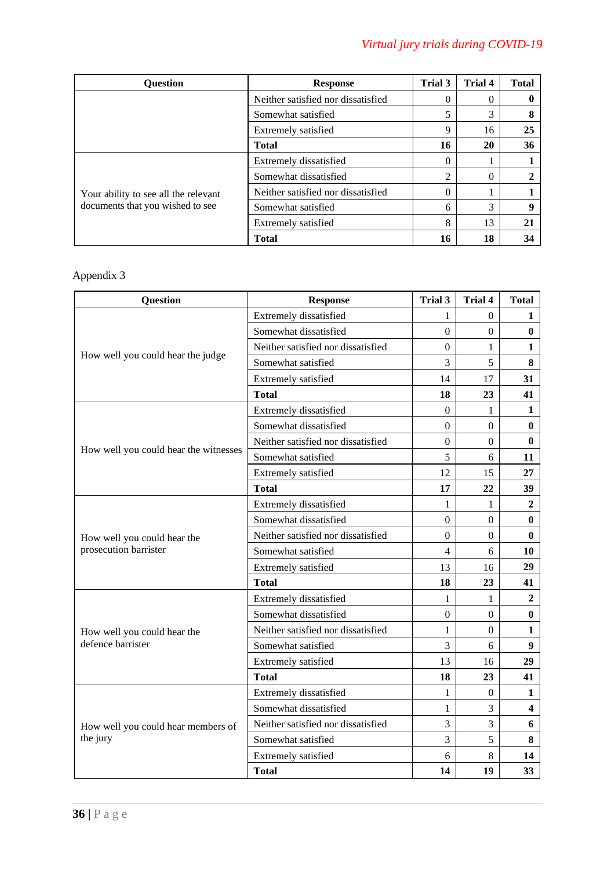| Question                             | <b>Response</b>                    | <b>Trial 3</b> | Trial 4  | <b>Total</b> |
|--------------------------------------|------------------------------------|----------------|----------|--------------|
|                                      | Neither satisfied nor dissatisfied | $\theta$       | 0        |              |
|                                      | Somewhat satisfied                 | 5              | 3        | 8            |
|                                      | Extremely satisfied                | 9              | 16       | 25           |
|                                      | <b>Total</b>                       | 16             | 20       | 36           |
|                                      | Extremely dissatisfied             | $\theta$       |          |              |
|                                      | Somewhat dissatisfied              | $\overline{2}$ | $\theta$ | 2            |
| Your ability to see all the relevant | Neither satisfied nor dissatisfied | $\theta$       |          |              |
| documents that you wished to see     | Somewhat satisfied                 | 6              | 3        | 9            |
|                                      | Extremely satisfied                | 8              | 13       | 21           |
|                                      | <b>Total</b>                       | 16             | 18       | 34           |

| <b>Question</b>                       | <b>Response</b>                    | Trial 3          | <b>Trial 4</b>   | <b>Total</b>     |
|---------------------------------------|------------------------------------|------------------|------------------|------------------|
|                                       | Extremely dissatisfied             | 1                | $\Omega$         | 1                |
|                                       | Somewhat dissatisfied              | $\boldsymbol{0}$ | $\overline{0}$   | $\bf{0}$         |
|                                       | Neither satisfied nor dissatisfied | $\overline{0}$   | $\mathbf{1}$     | 1                |
| How well you could hear the judge     | Somewhat satisfied                 | 3                | 5                | 8                |
|                                       | Extremely satisfied                | 14               | 17               | 31               |
|                                       | <b>Total</b>                       | 18               | 23               | 41               |
|                                       | Extremely dissatisfied             | $\theta$         | 1                | 1                |
|                                       | Somewhat dissatisfied              | $\overline{0}$   | $\overline{0}$   | $\bf{0}$         |
|                                       | Neither satisfied nor dissatisfied | $\overline{0}$   | $\overline{0}$   | $\bf{0}$         |
| How well you could hear the witnesses | Somewhat satisfied                 | 5                | 6                | 11               |
|                                       | Extremely satisfied                | 12               | 15               | 27               |
|                                       | <b>Total</b>                       | 17               | 22               | 39               |
|                                       | Extremely dissatisfied             | 1                | 1                | $\boldsymbol{2}$ |
|                                       | Somewhat dissatisfied              | $\Omega$         | $\Omega$         | 0                |
| How well you could hear the           | Neither satisfied nor dissatisfied | $\boldsymbol{0}$ | $\boldsymbol{0}$ | $\bf{0}$         |
| prosecution barrister                 | Somewhat satisfied                 | $\overline{4}$   | 6                | 10               |
|                                       | Extremely satisfied                | 13               | 16               | 29               |
|                                       | <b>Total</b>                       | 18               | 23               | 41               |
|                                       | Extremely dissatisfied             | 1                | 1                | 2                |
|                                       | Somewhat dissatisfied              | $\theta$         | $\boldsymbol{0}$ | $\bf{0}$         |
| How well you could hear the           | Neither satisfied nor dissatisfied | 1                | $\overline{0}$   | 1                |
| defence barrister                     | Somewhat satisfied                 | 3                | 6                | 9                |
|                                       | Extremely satisfied                | 13               | 16               | 29               |
|                                       | <b>Total</b>                       | 18               | 23               | 41               |
|                                       | Extremely dissatisfied             | 1                | $\boldsymbol{0}$ | 1                |
|                                       | Somewhat dissatisfied              | $\mathbf{1}$     | $\overline{3}$   | 4                |
| How well you could hear members of    | Neither satisfied nor dissatisfied | 3                | 3                | 6                |
| the jury                              | Somewhat satisfied                 | 3                | 5                | 8                |
|                                       | Extremely satisfied                | 6                | 8                | 14               |
|                                       | <b>Total</b>                       | 14               | 19               | 33               |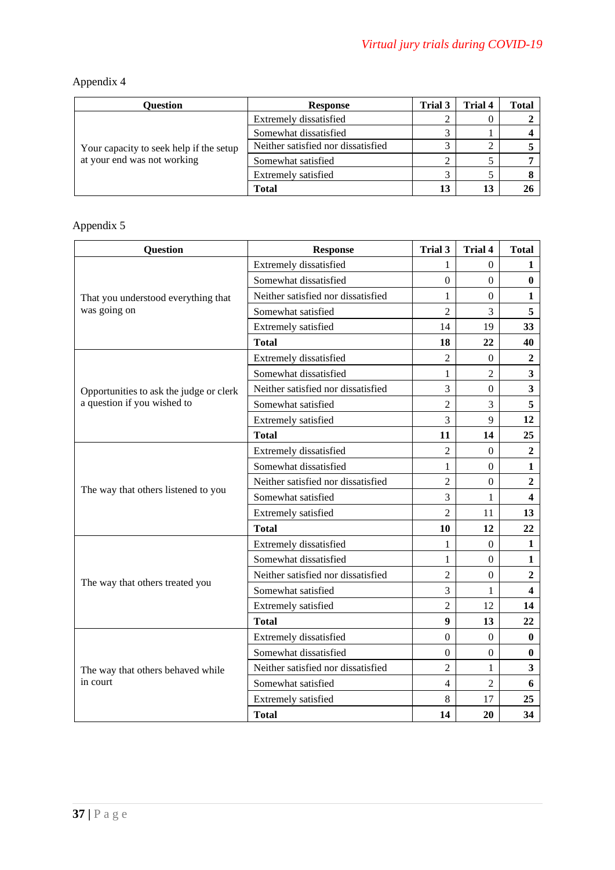| Ouestion                                | <b>Response</b>                    | Trial 3 | Trial 4 | Total |
|-----------------------------------------|------------------------------------|---------|---------|-------|
| Your capacity to seek help if the setup | Extremely dissatisfied             |         |         |       |
|                                         | Somewhat dissatisfied              |         |         |       |
|                                         | Neither satisfied nor dissatisfied |         |         |       |
| at your end was not working             | Somewhat satisfied                 |         |         |       |
|                                         | Extremely satisfied                |         |         |       |
|                                         | <b>Total</b>                       | 13      | 13      |       |

| <b>Question</b>                         | <b>Response</b>                    | Trial 3        | <b>Trial 4</b>   | <b>Total</b>            |
|-----------------------------------------|------------------------------------|----------------|------------------|-------------------------|
|                                         | Extremely dissatisfied             | 1              | $\overline{0}$   | 1                       |
|                                         | Somewhat dissatisfied              | $\Omega$       | $\Omega$         | $\bf{0}$                |
| That you understood everything that     | Neither satisfied nor dissatisfied | 1              | $\Omega$         | $\mathbf{1}$            |
| was going on                            | Somewhat satisfied                 | $\overline{2}$ | 3                | 5                       |
|                                         | Extremely satisfied                | 14             | 19               | 33                      |
|                                         | <b>Total</b>                       | 18             | 22               | 40                      |
|                                         | Extremely dissatisfied             | $\overline{2}$ | $\theta$         | $\boldsymbol{2}$        |
|                                         | Somewhat dissatisfied              | $\mathbf{1}$   | $\overline{2}$   | $\overline{\mathbf{3}}$ |
| Opportunities to ask the judge or clerk | Neither satisfied nor dissatisfied | 3              | $\overline{0}$   | $\overline{\mathbf{3}}$ |
| a question if you wished to             | Somewhat satisfied                 | $\overline{2}$ | 3                | 5                       |
|                                         | Extremely satisfied                | 3              | 9                | 12                      |
|                                         | <b>Total</b>                       | 11             | 14               | 25                      |
|                                         | Extremely dissatisfied             | $\overline{2}$ | $\boldsymbol{0}$ | $\overline{2}$          |
|                                         | Somewhat dissatisfied              | 1              | $\overline{0}$   | $\mathbf{1}$            |
|                                         | Neither satisfied nor dissatisfied | $\overline{2}$ | $\overline{0}$   | $\overline{2}$          |
| The way that others listened to you     | Somewhat satisfied                 | 3              | $\mathbf{1}$     | $\overline{\mathbf{4}}$ |
|                                         | Extremely satisfied                | $\overline{2}$ | 11               | 13                      |
|                                         | <b>Total</b>                       | 10             | 12               | 22                      |
|                                         | Extremely dissatisfied             | 1              | $\overline{0}$   | 1                       |
|                                         | Somewhat dissatisfied              | 1              | $\overline{0}$   | 1                       |
|                                         | Neither satisfied nor dissatisfied | $\overline{2}$ | $\overline{0}$   | $\overline{2}$          |
| The way that others treated you         | Somewhat satisfied                 | 3              | 1                | $\overline{\mathbf{4}}$ |
|                                         | Extremely satisfied                | $\overline{2}$ | 12               | 14                      |
|                                         | <b>Total</b>                       | 9              | 13               | 22                      |
|                                         | Extremely dissatisfied             | $\Omega$       | $\overline{0}$   | $\bf{0}$                |
|                                         | Somewhat dissatisfied              | $\Omega$       | $\overline{0}$   | $\bf{0}$                |
| The way that others behaved while       | Neither satisfied nor dissatisfied | $\overline{2}$ | 1                | 3                       |
| in court                                | Somewhat satisfied                 | 4              | $\overline{2}$   | 6                       |
|                                         | Extremely satisfied                | 8              | 17               | 25                      |
|                                         | <b>Total</b>                       | 14             | 20               | 34                      |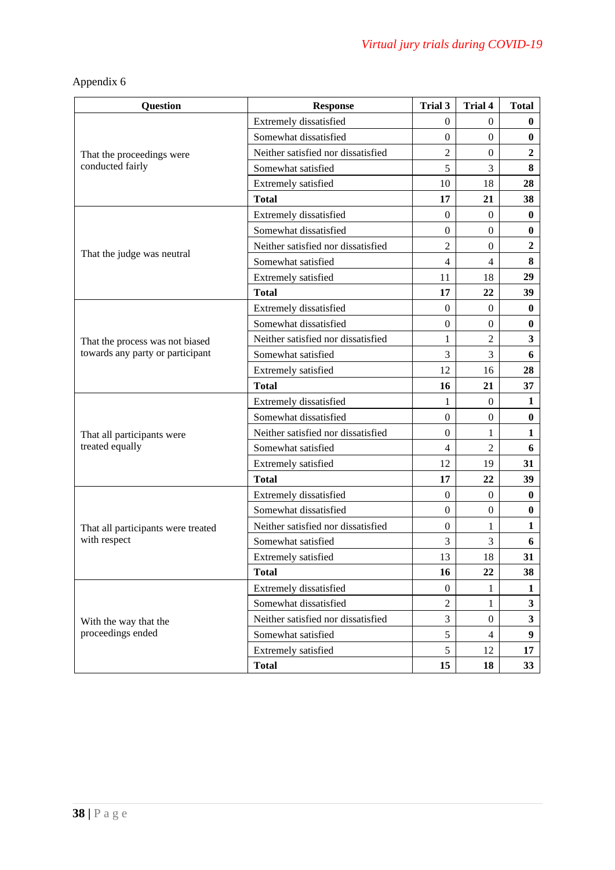| <b>Question</b>                    | <b>Response</b>                    | Trial 3          | <b>Trial 4</b>   | <b>Total</b>            |
|------------------------------------|------------------------------------|------------------|------------------|-------------------------|
|                                    | Extremely dissatisfied             | 0                | $\overline{0}$   | $\bf{0}$                |
|                                    | Somewhat dissatisfied              | $\overline{0}$   | $\mathbf{0}$     | $\bf{0}$                |
| That the proceedings were          | Neither satisfied nor dissatisfied | $\overline{2}$   | $\boldsymbol{0}$ | 2                       |
| conducted fairly                   | Somewhat satisfied                 | 5                | 3                | 8                       |
|                                    | Extremely satisfied                | 10               | 18               | 28                      |
|                                    | <b>Total</b>                       | 17               | 21               | 38                      |
|                                    | Extremely dissatisfied             | $\Omega$         | $\Omega$         | $\bf{0}$                |
|                                    | Somewhat dissatisfied              | $\overline{0}$   | $\mathbf{0}$     | $\bf{0}$                |
|                                    | Neither satisfied nor dissatisfied | $\overline{2}$   | $\boldsymbol{0}$ | $\overline{2}$          |
| That the judge was neutral         | Somewhat satisfied                 | 4                | 4                | 8                       |
|                                    | Extremely satisfied                | 11               | 18               | 29                      |
|                                    | <b>Total</b>                       | 17               | 22               | 39                      |
|                                    | Extremely dissatisfied             | 0                | $\theta$         | $\bf{0}$                |
|                                    | Somewhat dissatisfied              | $\overline{0}$   | $\mathbf{0}$     | 0                       |
| That the process was not biased    | Neither satisfied nor dissatisfied | 1                | $\overline{2}$   | 3                       |
| towards any party or participant   | Somewhat satisfied                 | 3                | 3                | 6                       |
|                                    | Extremely satisfied                | 12               | 16               | 28                      |
|                                    | <b>Total</b>                       | 16               | 21               | 37                      |
|                                    | Extremely dissatisfied             | 1                | $\overline{0}$   | 1                       |
|                                    | Somewhat dissatisfied              | $\boldsymbol{0}$ | $\mathbf{0}$     | $\bf{0}$                |
| That all participants were         | Neither satisfied nor dissatisfied | $\boldsymbol{0}$ | 1                | 1                       |
| treated equally                    | Somewhat satisfied                 | 4                | $\overline{2}$   | 6                       |
|                                    | Extremely satisfied                | 12               | 19               | 31                      |
|                                    | <b>Total</b>                       | 17               | 22               | 39                      |
|                                    | Extremely dissatisfied             | $\mathbf{0}$     | $\overline{0}$   | $\bf{0}$                |
|                                    | Somewhat dissatisfied              | $\boldsymbol{0}$ | $\mathbf{0}$     | $\bf{0}$                |
| That all participants were treated | Neither satisfied nor dissatisfied | $\Omega$         | 1                | 1                       |
| with respect                       | Somewhat satisfied                 | 3                | 3                | 6                       |
|                                    | Extremely satisfied                | 13               | 18               | 31                      |
|                                    | <b>Total</b>                       | 16               | 22               | 38                      |
|                                    | Extremely dissatisfied             | $\boldsymbol{0}$ | 1                | $\mathbf{1}$            |
|                                    | Somewhat dissatisfied              | $\overline{2}$   | 1                | $\overline{\mathbf{3}}$ |
| With the way that the              | Neither satisfied nor dissatisfied | 3                | $\boldsymbol{0}$ | $\mathbf{3}$            |
| proceedings ended                  | Somewhat satisfied                 | 5                | $\overline{4}$   | $\boldsymbol{9}$        |
|                                    | Extremely satisfied                | 5                | 12               | 17                      |
|                                    | <b>Total</b>                       | 15               | 18               | 33                      |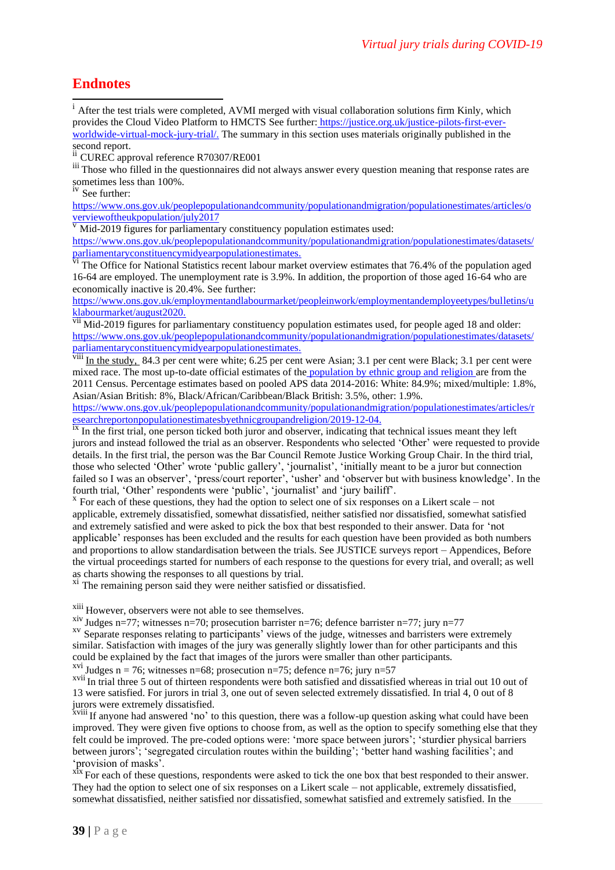### **Endnotes**

<sup>i</sup> After the test trials were completed, AVMI merged with visual collaboration solutions firm Kinly, which provides the Cloud Video Platform to HMCTS See further[:](https://justice.org.uk/justice-pilots-first-ever-worldwide-virtual-mock-jury-trial/) [https://justice.org.uk/justice-pilots-first-ever](https://the/)[worldwide-virtual-mock-jury-trial/.](https://the/) The summary in this section uses materials originally published in the second report.

<sup>ii</sup> CUREC approval reference R70307/RE001

iii Those who filled in the questionnaires did not always answer every question meaning that response rates are sometimes less than 100%.

iv See further:

[https://www.ons.gov.uk/peoplepopulationandcommunity/populationandmigration/populationestimates/articles/o](https://www.ons.gov.uk/peoplepopulationandcommunity/populationandmigration/populationestimates/articles/overviewoftheukpopulation/july2017) [verviewoftheukpopulation/july2017](https://www.ons.gov.uk/peoplepopulationandcommunity/populationandmigration/populationestimates/articles/overviewoftheukpopulation/july2017)

 $\overline{v}$  Mid-2019 figures for parliamentary constituency population estimates used:

[https://www.ons.gov.uk/peoplepopulationandcommunity/populationandmigration/populationestimates/datasets/](https://www.ons.gov.uk/peoplepopulationandcommunity/populationandmigration/populationestimates/datasets/parliamentaryconstituencymidyearpopulationestimates) [parliamentaryconstituencymidyearpopulationestimates.](https://www.ons.gov.uk/peoplepopulationandcommunity/populationandmigration/populationestimates/datasets/parliamentaryconstituencymidyearpopulationestimates)

V<sub>I</sub> The Office for National Statistics recent labour market overview estimates that 76.4% of the population aged 16-64 are employed. The unemployment rate is 3.9%. In addition, the proportion of those aged 16-64 who are economically inactive is 20.4%. See further:

[https://www.ons.gov.uk/employmentandlabourmarket/peopleinwork/employmentandemployeetypes/bulletins/u](https://www.ons.gov.uk/employmentandlabourmarket/peopleinwork/employmentandemployeetypes/bulletins/uklabourmarket/august2020) [klabourmarket/august2020.](https://www.ons.gov.uk/employmentandlabourmarket/peopleinwork/employmentandemployeetypes/bulletins/uklabourmarket/august2020)

vii Mid-2019 figures for parliamentary constituency population estimates used, for people aged 18 and older: [https://www.ons.gov.uk/peoplepopulationandcommunity/populationandmigration/populationestimates/datasets/](https://www.ons.gov.uk/peoplepopulationandcommunity/populationandmigration/populationestimates/datasets/parliamentaryconstituencymidyearpopulationestimates) [parliamentaryconstituencymidyearpopulationestimates.](https://www.ons.gov.uk/peoplepopulationandcommunity/populationandmigration/populationestimates/datasets/parliamentaryconstituencymidyearpopulationestimates)

 $\frac{v}{v}$  In the study, 84.3 per cent were white; 6.25 per cent were Asian; 3.1 per cent were Black; 3.1 per cent were mixed race. The most up-to-date official estimates of the [p](https://www.nomisweb.co.uk/census/2011/data_finder)opulation by ethnic group and religion are from the 2011 Census. Percentage estimates based on pooled APS data 2014-2016: White: 84.9%; mixed/multiple: 1.8%, Asian/Asian British: 8%, Black/African/Caribbean/Black British: 3.5%, other: 1.9%.

[https://www.ons.gov.uk/peoplepopulationandcommunity/populationandmigration/populationestimates/articles/r](https://www.ons.gov.uk/peoplepopulationandcommunity/populationandmigration/populationestimates/articles/researchreportonpopulationestimatesbyethnicgroupandreligion/2019-12-04) [esearchreportonpopulationestimatesbyethnicgroupandreligion/2019-12-04.](https://www.ons.gov.uk/peoplepopulationandcommunity/populationandmigration/populationestimates/articles/researchreportonpopulationestimatesbyethnicgroupandreligion/2019-12-04)

<sup>ix</sup> In the first trial, one person ticked both juror and observer, indicating that technical issues meant they left jurors and instead followed the trial as an observer. Respondents who selected 'Other' were requested to provide details. In the first trial, the person was the Bar Council Remote Justice Working Group Chair. In the third trial, those who selected 'Other' wrote 'public gallery', 'journalist', 'initially meant to be a juror but connection failed so I was an observer', 'press/court reporter', 'usher' and 'observer but with business knowledge'. In the fourth trial, 'Other' respondents were 'public', 'journalist' and 'jury bailiff'.

 $x \to x$  For each of these questions, they had the option to select one of six responses on a Likert scale – not applicable, extremely dissatisfied, somewhat dissatisfied, neither satisfied nor dissatisfied, somewhat satisfied and extremely satisfied and were asked to pick the box that best responded to their answer. Data for 'not applicable' responses has been excluded and the results for each question have been provided as both numbers and proportions to allow standardisation between the trials. See JUSTICE surveys report – Appendices, Before the virtual proceedings started for numbers of each response to the questions for every trial, and overall; as well as charts showing the responses to all questions by trial.

<sup>xi</sup> The remaining person said they were neither satisfied or dissatisfied.

xiii However, observers were not able to see themselves.

<sup>xiv</sup> Judges n=77; witnesses n=70; prosecution barrister n=76; defence barrister n=77; jury n=77

<sup>xv</sup> Separate responses relating to participants' views of the judge, witnesses and barristers were extremely similar. Satisfaction with images of the jury was generally slightly lower than for other participants and this could be explained by the fact that images of the jurors were smaller than other participants.

<sup>xvi</sup> Judges n = 76; witnesses n=68; prosecution n=75; defence n=76; jury n=57

<sup>xvii</sup> In trial three 5 out of thirteen respondents were both satisfied and dissatisfied whereas in trial out 10 out of 13 were satisfied. For jurors in trial 3, one out of seven selected extremely dissatisfied. In trial 4, 0 out of 8 jurors were extremely dissatisfied.

x<sup>1</sup>x<sup>viii</sup> If anyone had answered 'no' to this question, there was a follow-up question asking what could have been improved. They were given five options to choose from, as well as the option to specify something else that they felt could be improved. The pre-coded options were: 'more space between jurors'; 'sturdier physical barriers between jurors'; 'segregated circulation routes within the building'; 'better hand washing facilities'; and 'provision of masks'.

<sup>x1x</sup> For each of these questions, respondents were asked to tick the one box that best responded to their answer. They had the option to select one of six responses on a Likert scale – not applicable, extremely dissatisfied, somewhat dissatisfied, neither satisfied nor dissatisfied, somewhat satisfied and extremely satisfied. In the